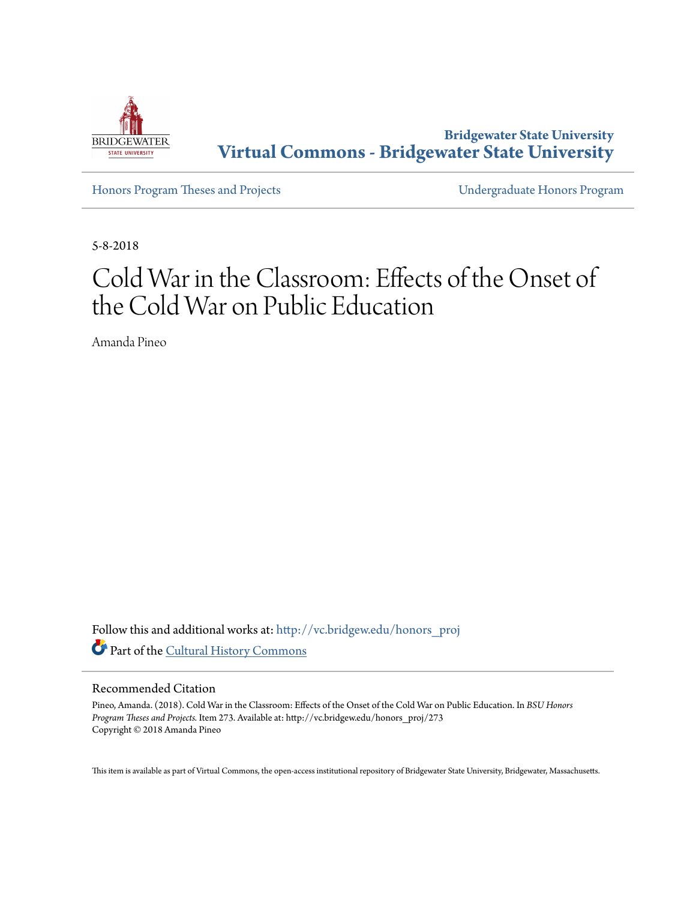

**Bridgewater State University [Virtual Commons - Bridgewater State University](http://vc.bridgew.edu?utm_source=vc.bridgew.edu%2Fhonors_proj%2F273&utm_medium=PDF&utm_campaign=PDFCoverPages)**

[Honors Program Theses and Projects](http://vc.bridgew.edu/honors_proj?utm_source=vc.bridgew.edu%2Fhonors_proj%2F273&utm_medium=PDF&utm_campaign=PDFCoverPages) [Undergraduate Honors Program](http://vc.bridgew.edu/honors?utm_source=vc.bridgew.edu%2Fhonors_proj%2F273&utm_medium=PDF&utm_campaign=PDFCoverPages)

5-8-2018

# Cold War in the Classroom: Effects of the Onset of the Cold War on Public Education

Amanda Pineo

Follow this and additional works at: [http://vc.bridgew.edu/honors\\_proj](http://vc.bridgew.edu/honors_proj?utm_source=vc.bridgew.edu%2Fhonors_proj%2F273&utm_medium=PDF&utm_campaign=PDFCoverPages) Part of the [Cultural History Commons](http://network.bepress.com/hgg/discipline/496?utm_source=vc.bridgew.edu%2Fhonors_proj%2F273&utm_medium=PDF&utm_campaign=PDFCoverPages)

#### Recommended Citation

Pineo, Amanda. (2018). Cold War in the Classroom: Effects of the Onset of the Cold War on Public Education. In *BSU Honors Program Theses and Projects.* Item 273. Available at: http://vc.bridgew.edu/honors\_proj/273 Copyright © 2018 Amanda Pineo

This item is available as part of Virtual Commons, the open-access institutional repository of Bridgewater State University, Bridgewater, Massachusetts.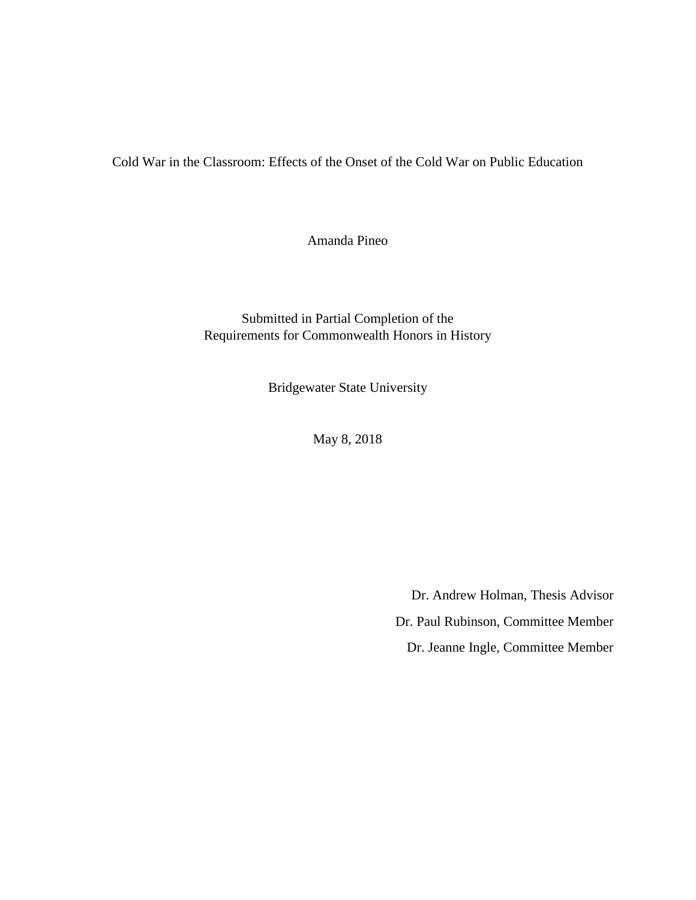Cold War in the Classroom: Effects of the Onset of the Cold War on Public Education

Amanda Pineo

Submitted in Partial Completion of the Requirements for Commonwealth Honors in History

Bridgewater State University

May 8, 2018

Dr. Andrew Holman, Thesis Advisor Dr. Paul Rubinson, Committee Member Dr. Jeanne Ingle, Committee Member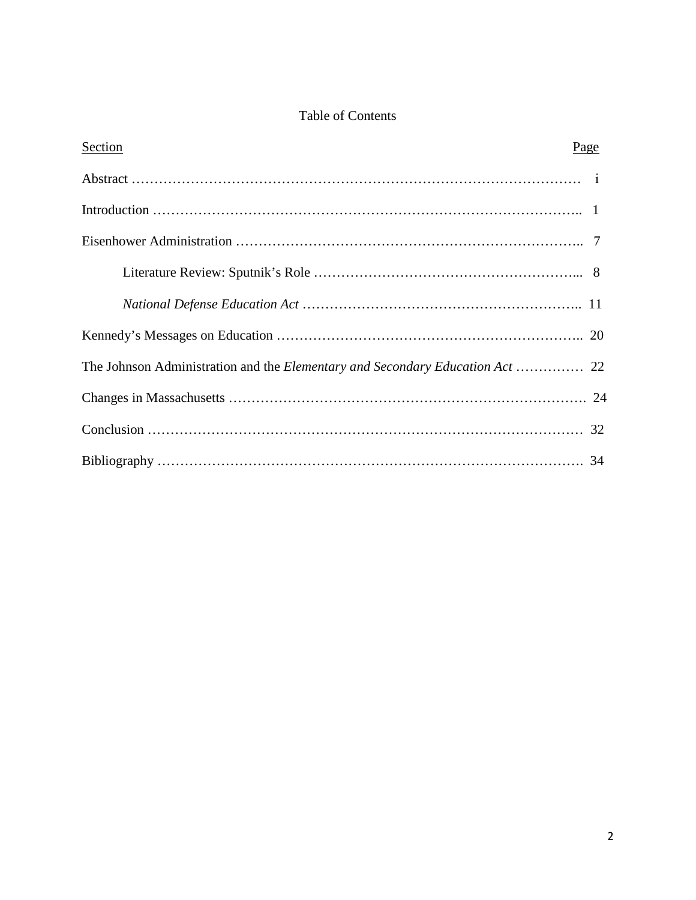## Table of Contents

| Section | Page |
|---------|------|
|         |      |
|         |      |
|         |      |
|         |      |
|         |      |
|         |      |
|         |      |
|         |      |
|         |      |
|         |      |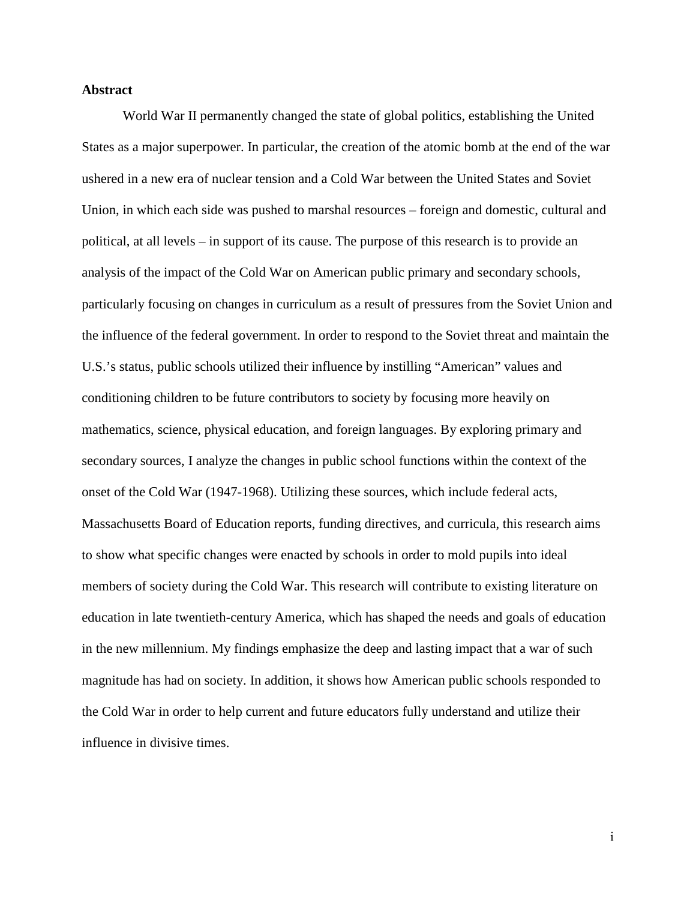#### **Abstract**

World War II permanently changed the state of global politics, establishing the United States as a major superpower. In particular, the creation of the atomic bomb at the end of the war ushered in a new era of nuclear tension and a Cold War between the United States and Soviet Union, in which each side was pushed to marshal resources – foreign and domestic, cultural and political, at all levels – in support of its cause. The purpose of this research is to provide an analysis of the impact of the Cold War on American public primary and secondary schools, particularly focusing on changes in curriculum as a result of pressures from the Soviet Union and the influence of the federal government. In order to respond to the Soviet threat and maintain the U.S.'s status, public schools utilized their influence by instilling "American" values and conditioning children to be future contributors to society by focusing more heavily on mathematics, science, physical education, and foreign languages. By exploring primary and secondary sources, I analyze the changes in public school functions within the context of the onset of the Cold War (1947-1968). Utilizing these sources, which include federal acts, Massachusetts Board of Education reports, funding directives, and curricula, this research aims to show what specific changes were enacted by schools in order to mold pupils into ideal members of society during the Cold War. This research will contribute to existing literature on education in late twentieth-century America, which has shaped the needs and goals of education in the new millennium. My findings emphasize the deep and lasting impact that a war of such magnitude has had on society. In addition, it shows how American public schools responded to the Cold War in order to help current and future educators fully understand and utilize their influence in divisive times.

ⅰ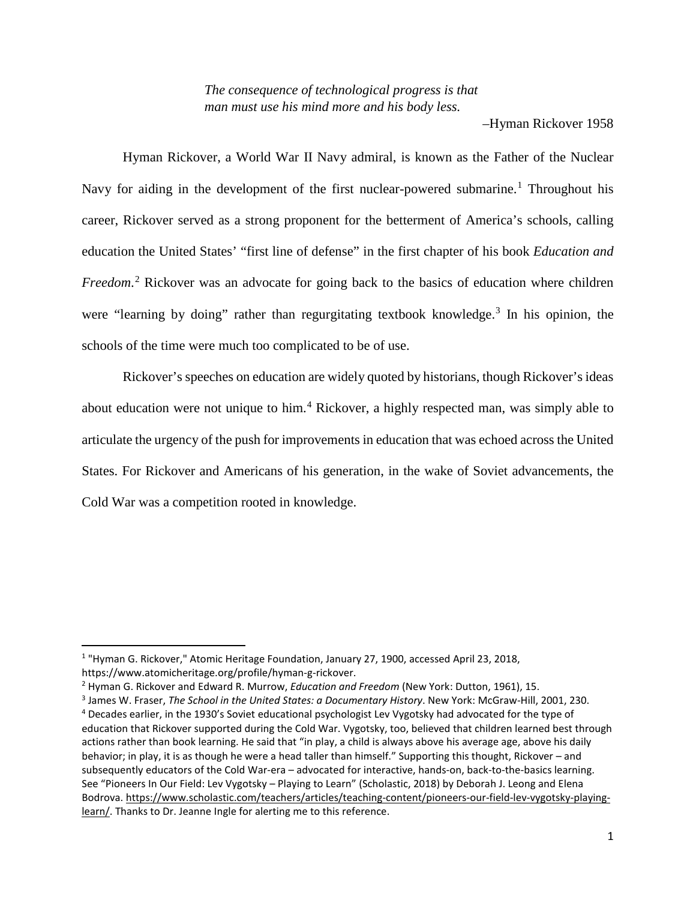*The consequence of technological progress is that man must use his mind more and his body less.*

–Hyman Rickover 1958

Hyman Rickover, a World War II Navy admiral, is known as the Father of the Nuclear Navy for aiding in the development of the first nuclear-powered submarine.<sup>[1](#page-4-0)</sup> Throughout his career, Rickover served as a strong proponent for the betterment of America's schools, calling education the United States' "first line of defense" in the first chapter of his book *Education and Freedom*. [2](#page-4-1) Rickover was an advocate for going back to the basics of education where children were "learning by doing" rather than regurgitating textbook knowledge.<sup>[3](#page-4-2)</sup> In his opinion, the schools of the time were much too complicated to be of use.

Rickover's speeches on education are widely quoted by historians, though Rickover's ideas about education were not unique to him.<sup>[4](#page-4-3)</sup> Rickover, a highly respected man, was simply able to articulate the urgency of the push for improvements in education that was echoed across the United States. For Rickover and Americans of his generation, in the wake of Soviet advancements, the Cold War was a competition rooted in knowledge.

<span id="page-4-0"></span> <sup>1</sup> "Hyman G. Rickover," Atomic Heritage Foundation, January 27, 1900, accessed April 23, 2018, https://www.atomicheritage.org/profile/hyman-g-rickover.

<span id="page-4-1"></span><sup>2</sup> Hyman G. Rickover and Edward R. Murrow, *Education and Freedom* (New York: Dutton, 1961), 15.

<span id="page-4-2"></span><sup>3</sup> James W. Fraser, *The School in the United States: a Documentary History*. New York: McGraw-Hill, 2001, 230.

<span id="page-4-3"></span><sup>4</sup> Decades earlier, in the 1930's Soviet educational psychologist Lev Vygotsky had advocated for the type of education that Rickover supported during the Cold War. Vygotsky, too, believed that children learned best through actions rather than book learning. He said that "in play, a child is always above his average age, above his daily behavior; in play, it is as though he were a head taller than himself." Supporting this thought, Rickover – and subsequently educators of the Cold War-era – advocated for interactive, hands-on, back-to-the-basics learning. See "Pioneers In Our Field: Lev Vygotsky – Playing to Learn" (Scholastic, 2018) by Deborah J. Leong and Elena Bodrova. [https://www.scholastic.com/teachers/articles/teaching-content/pioneers-our-field-lev-vygotsky-playing](https://www.scholastic.com/teachers/articles/teaching-content/pioneers-our-field-lev-vygotsky-playing-learn/)[learn/.](https://www.scholastic.com/teachers/articles/teaching-content/pioneers-our-field-lev-vygotsky-playing-learn/) Thanks to Dr. Jeanne Ingle for alerting me to this reference.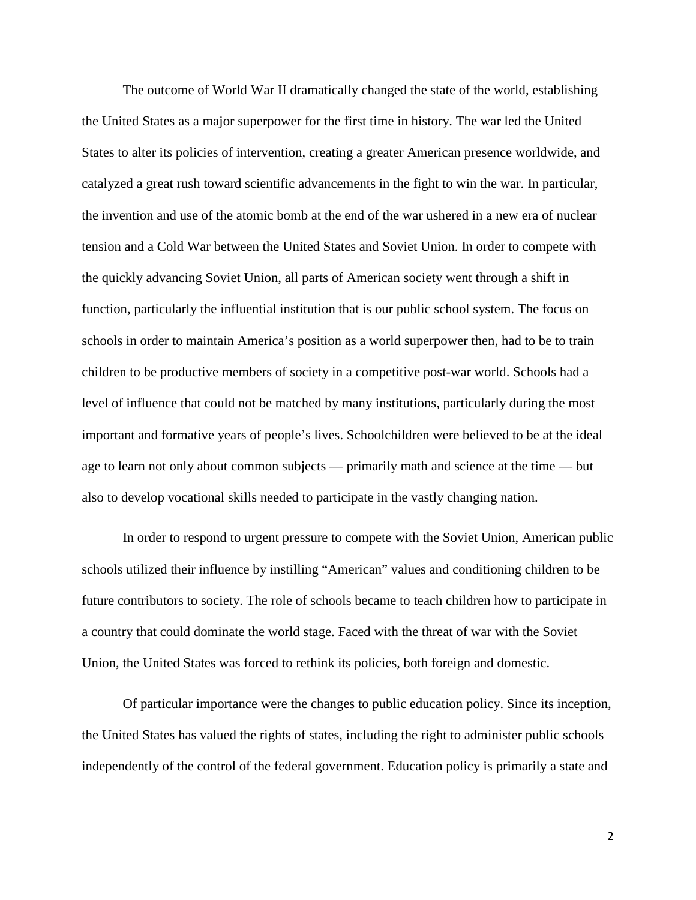The outcome of World War II dramatically changed the state of the world, establishing the United States as a major superpower for the first time in history. The war led the United States to alter its policies of intervention, creating a greater American presence worldwide, and catalyzed a great rush toward scientific advancements in the fight to win the war. In particular, the invention and use of the atomic bomb at the end of the war ushered in a new era of nuclear tension and a Cold War between the United States and Soviet Union. In order to compete with the quickly advancing Soviet Union, all parts of American society went through a shift in function, particularly the influential institution that is our public school system. The focus on schools in order to maintain America's position as a world superpower then, had to be to train children to be productive members of society in a competitive post-war world. Schools had a level of influence that could not be matched by many institutions, particularly during the most important and formative years of people's lives. Schoolchildren were believed to be at the ideal age to learn not only about common subjects — primarily math and science at the time — but also to develop vocational skills needed to participate in the vastly changing nation.

In order to respond to urgent pressure to compete with the Soviet Union, American public schools utilized their influence by instilling "American" values and conditioning children to be future contributors to society. The role of schools became to teach children how to participate in a country that could dominate the world stage. Faced with the threat of war with the Soviet Union, the United States was forced to rethink its policies, both foreign and domestic.

Of particular importance were the changes to public education policy. Since its inception, the United States has valued the rights of states, including the right to administer public schools independently of the control of the federal government. Education policy is primarily a state and

2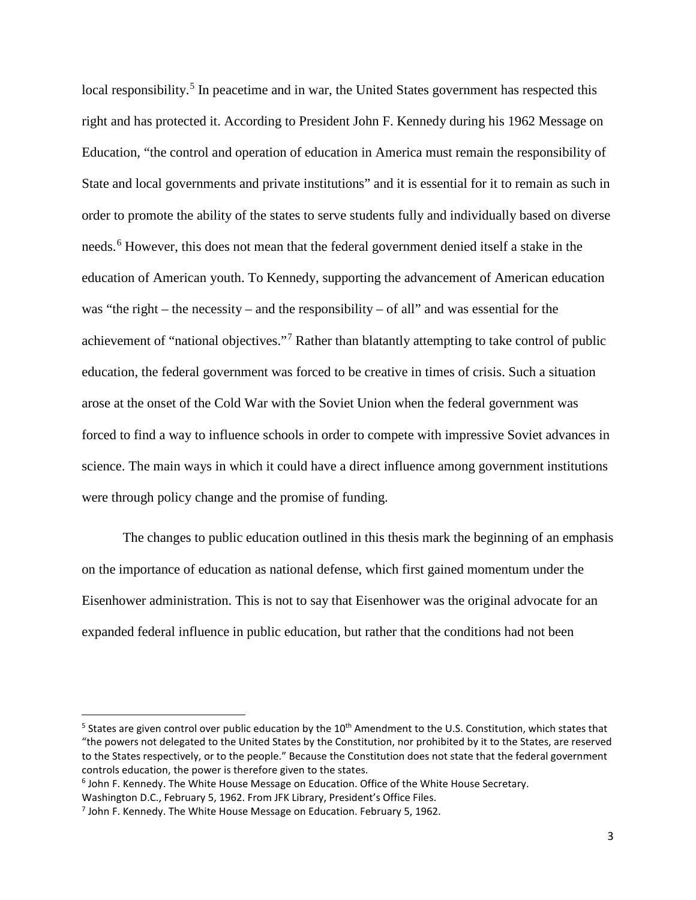local responsibility.<sup>[5](#page-6-0)</sup> In peacetime and in war, the United States government has respected this right and has protected it. According to President John F. Kennedy during his 1962 Message on Education, "the control and operation of education in America must remain the responsibility of State and local governments and private institutions" and it is essential for it to remain as such in order to promote the ability of the states to serve students fully and individually based on diverse needs.<sup>[6](#page-6-1)</sup> However, this does not mean that the federal government denied itself a stake in the education of American youth. To Kennedy, supporting the advancement of American education was "the right – the necessity – and the responsibility – of all" and was essential for the achievement of "national objectives."[7](#page-6-2) Rather than blatantly attempting to take control of public education, the federal government was forced to be creative in times of crisis. Such a situation arose at the onset of the Cold War with the Soviet Union when the federal government was forced to find a way to influence schools in order to compete with impressive Soviet advances in science. The main ways in which it could have a direct influence among government institutions were through policy change and the promise of funding.

The changes to public education outlined in this thesis mark the beginning of an emphasis on the importance of education as national defense, which first gained momentum under the Eisenhower administration. This is not to say that Eisenhower was the original advocate for an expanded federal influence in public education, but rather that the conditions had not been

<span id="page-6-0"></span> $5$  States are given control over public education by the 10<sup>th</sup> Amendment to the U.S. Constitution, which states that "the powers not delegated to the United States by the Constitution, nor prohibited by it to the States, are reserved to the States respectively, or to the people." Because the Constitution does not state that the federal government controls education, the power is therefore given to the states.

<span id="page-6-1"></span><sup>6</sup> John F. Kennedy. The White House Message on Education. Office of the White House Secretary. Washington D.C., February 5, 1962. From JFK Library, President's Office Files.

<span id="page-6-2"></span> $<sup>7</sup>$  John F. Kennedy. The White House Message on Education. February 5, 1962.</sup>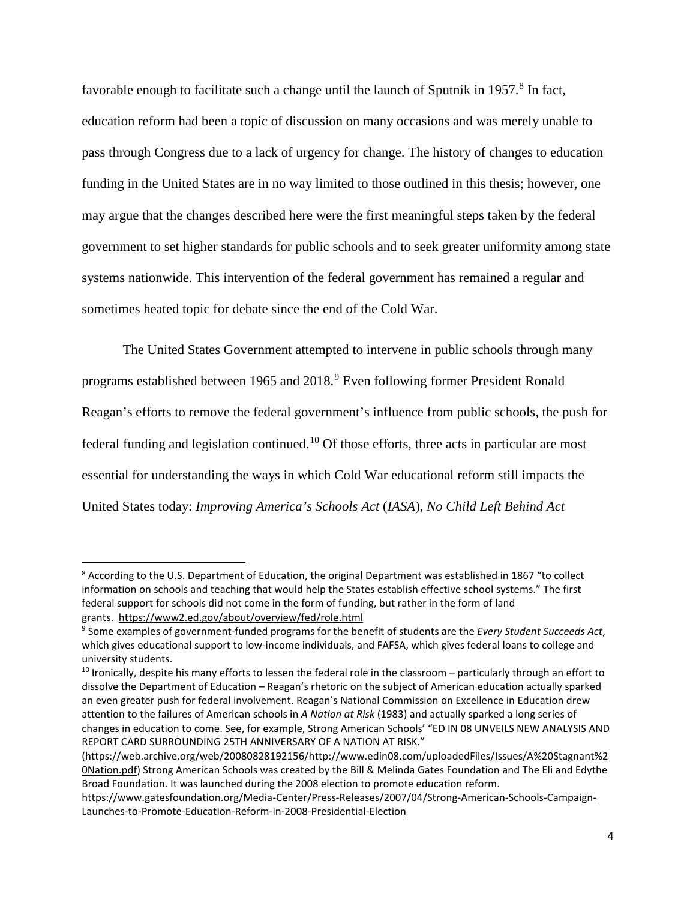favorable enough to facilitate such a change until the launch of Sputnik in 1957.<sup>[8](#page-7-0)</sup> In fact, education reform had been a topic of discussion on many occasions and was merely unable to pass through Congress due to a lack of urgency for change. The history of changes to education funding in the United States are in no way limited to those outlined in this thesis; however, one may argue that the changes described here were the first meaningful steps taken by the federal government to set higher standards for public schools and to seek greater uniformity among state systems nationwide. This intervention of the federal government has remained a regular and sometimes heated topic for debate since the end of the Cold War.

The United States Government attempted to intervene in public schools through many programs established between 1965 and 2018.[9](#page-7-1) Even following former President Ronald Reagan's efforts to remove the federal government's influence from public schools, the push for federal funding and legislation continued.[10](#page-7-2) Of those efforts, three acts in particular are most essential for understanding the ways in which Cold War educational reform still impacts the United States today: *Improving America's Schools Act* (*IASA*), *No Child Left Behind Act* 

<span id="page-7-0"></span><sup>&</sup>lt;sup>8</sup> According to the U.S. Department of Education, the original Department was established in 1867 "to collect information on schools and teaching that would help the States establish effective school systems." The first federal support for schools did not come in the form of funding, but rather in the form of land grants.<https://www2.ed.gov/about/overview/fed/role.html>

<span id="page-7-1"></span><sup>9</sup> Some examples of government-funded programs for the benefit of students are the *Every Student Succeeds Act*, which gives educational support to low-income individuals, and FAFSA, which gives federal loans to college and university students.

<span id="page-7-2"></span><sup>&</sup>lt;sup>10</sup> Ironically, despite his many efforts to lessen the federal role in the classroom – particularly through an effort to dissolve the Department of Education – Reagan's rhetoric on the subject of American education actually sparked an even greater push for federal involvement. Reagan's National Commission on Excellence in Education drew attention to the failures of American schools in *A Nation at Risk* (1983) and actually sparked a long series of changes in education to come. See, for example, Strong American Schools' "ED IN 08 UNVEILS NEW ANALYSIS AND REPORT CARD SURROUNDING 25TH ANNIVERSARY OF A NATION AT RISK."

[<sup>\(</sup>https://web.archive.org/web/20080828192156/http://www.edin08.com/uploadedFiles/Issues/A%20Stagnant%2](https://web.archive.org/web/20080828192156/http:/www.edin08.com/uploadedFiles/Issues/A%20Stagnant%20Nation.pdf) [0Nation.pdf\)](https://web.archive.org/web/20080828192156/http:/www.edin08.com/uploadedFiles/Issues/A%20Stagnant%20Nation.pdf) Strong American Schools was created by the Bill & Melinda Gates Foundation and The Eli and Edythe Broad Foundation. It was launched during the 2008 election to promote education reform.

[https://www.gatesfoundation.org/Media-Center/Press-Releases/2007/04/Strong-American-Schools-Campaign-](https://www.gatesfoundation.org/Media-Center/Press-Releases/2007/04/Strong-American-Schools-Campaign-Launches-to-Promote-Education-Reform-in-2008-Presidential-Election)[Launches-to-Promote-Education-Reform-in-2008-Presidential-Election](https://www.gatesfoundation.org/Media-Center/Press-Releases/2007/04/Strong-American-Schools-Campaign-Launches-to-Promote-Education-Reform-in-2008-Presidential-Election)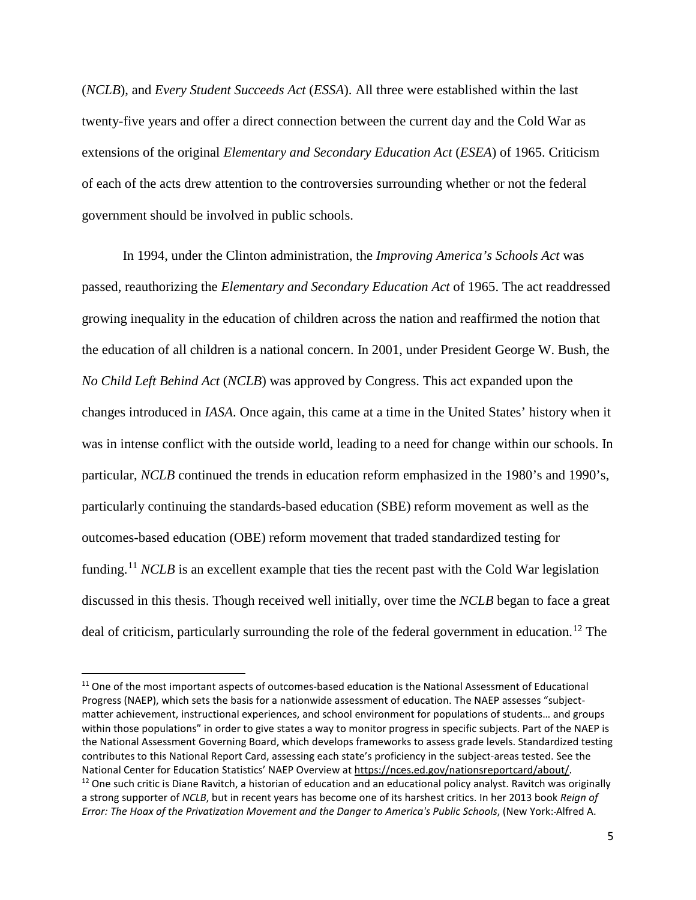(*NCLB*), and *Every Student Succeeds Act* (*ESSA*). All three were established within the last twenty-five years and offer a direct connection between the current day and the Cold War as extensions of the original *Elementary and Secondary Education Act* (*ESEA*) of 1965. Criticism of each of the acts drew attention to the controversies surrounding whether or not the federal government should be involved in public schools.

In 1994, under the Clinton administration, the *Improving America's Schools Act* was passed, reauthorizing the *Elementary and Secondary Education Act* of 1965. The act readdressed growing inequality in the education of children across the nation and reaffirmed the notion that the education of all children is a national concern. In 2001, under President George W. Bush, the *No Child Left Behind Act* (*NCLB*) was approved by Congress. This act expanded upon the changes introduced in *IASA*. Once again, this came at a time in the United States' history when it was in intense conflict with the outside world, leading to a need for change within our schools. In particular, *NCLB* continued the trends in education reform emphasized in the 1980's and 1990's, particularly continuing the standards-based education (SBE) reform movement as well as the outcomes-based education (OBE) reform movement that traded standardized testing for funding.<sup>[11](#page-8-0)</sup> *NCLB* is an excellent example that ties the recent past with the Cold War legislation discussed in this thesis. Though received well initially, over time the *NCLB* began to face a great deal of criticism, particularly surrounding the role of the federal government in education.<sup>[12](#page-8-1)</sup> The

<span id="page-8-1"></span><span id="page-8-0"></span><sup>&</sup>lt;sup>11</sup> One of the most important aspects of outcomes-based education is the National Assessment of Educational Progress (NAEP), which sets the basis for a nationwide assessment of education. The NAEP assesses "subjectmatter achievement, instructional experiences, and school environment for populations of students… and groups within those populations" in order to give states a way to monitor progress in specific subjects. Part of the NAEP is the National Assessment Governing Board, which develops frameworks to assess grade levels. Standardized testing contributes to this National Report Card, assessing each state's proficiency in the subject-areas tested. See the National Center for Education Statistics' NAEP Overview at [https://nces.ed.gov/nationsreportcard/about/.](https://nces.ed.gov/nationsreportcard/about/)<br><sup>12</sup> One such critic is Diane Ravitch, a historian of education and an educational policy analyst. Ravitch was origin a strong supporter of *NCLB*, but in recent years has become one of its harshest critics. In her 2013 book *Reign of Error: The Hoax of the Privatization Movement and the Danger to America's Public Schools*, (New York: Alfred A.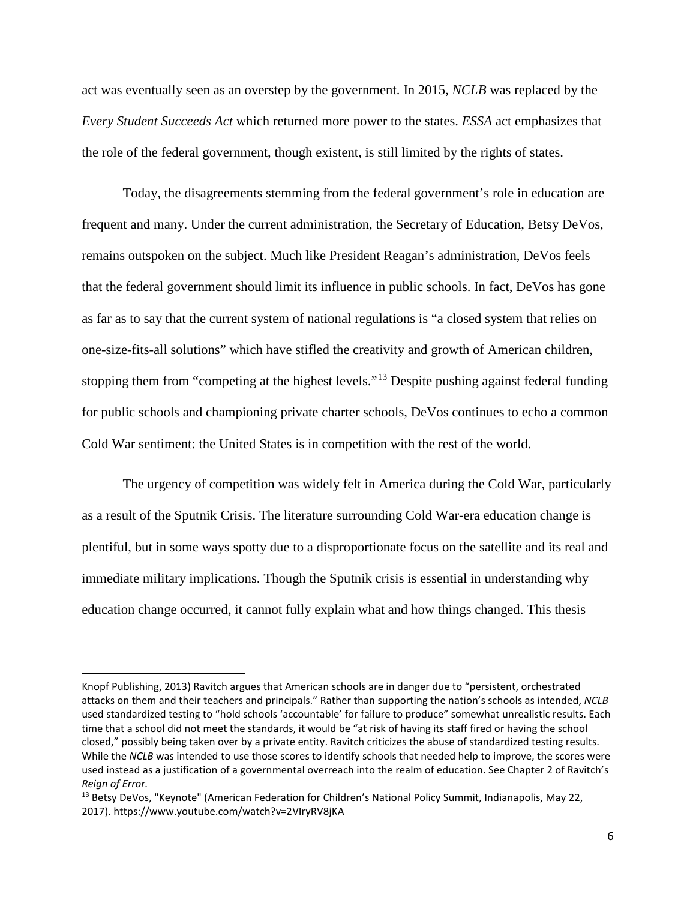act was eventually seen as an overstep by the government. In 2015, *NCLB* was replaced by the *Every Student Succeeds Act* which returned more power to the states. *ESSA* act emphasizes that the role of the federal government, though existent, is still limited by the rights of states.

Today, the disagreements stemming from the federal government's role in education are frequent and many. Under the current administration, the Secretary of Education, Betsy DeVos, remains outspoken on the subject. Much like President Reagan's administration, DeVos feels that the federal government should limit its influence in public schools. In fact, DeVos has gone as far as to say that the current system of national regulations is "a closed system that relies on one-size-fits-all solutions" which have stifled the creativity and growth of American children, stopping them from "competing at the highest levels."<sup>[13](#page-9-0)</sup> Despite pushing against federal funding for public schools and championing private charter schools, DeVos continues to echo a common Cold War sentiment: the United States is in competition with the rest of the world.

The urgency of competition was widely felt in America during the Cold War, particularly as a result of the Sputnik Crisis. The literature surrounding Cold War-era education change is plentiful, but in some ways spotty due to a disproportionate focus on the satellite and its real and immediate military implications. Though the Sputnik crisis is essential in understanding why education change occurred, it cannot fully explain what and how things changed. This thesis

l

Knopf Publishing, 2013) Ravitch argues that American schools are in danger due to "persistent, orchestrated attacks on them and their teachers and principals." Rather than supporting the nation's schools as intended, *NCLB* used standardized testing to "hold schools 'accountable' for failure to produce" somewhat unrealistic results. Each time that a school did not meet the standards, it would be "at risk of having its staff fired or having the school closed," possibly being taken over by a private entity. Ravitch criticizes the abuse of standardized testing results. While the *NCLB* was intended to use those scores to identify schools that needed help to improve, the scores were used instead as a justification of a governmental overreach into the realm of education. See Chapter 2 of Ravitch's *Reign of Error.*

<span id="page-9-0"></span><sup>&</sup>lt;sup>13</sup> Betsy DeVos, "Keynote" (American Federation for Children's National Policy Summit, Indianapolis, May 22, 2017).<https://www.youtube.com/watch?v=2VIryRV8jKA>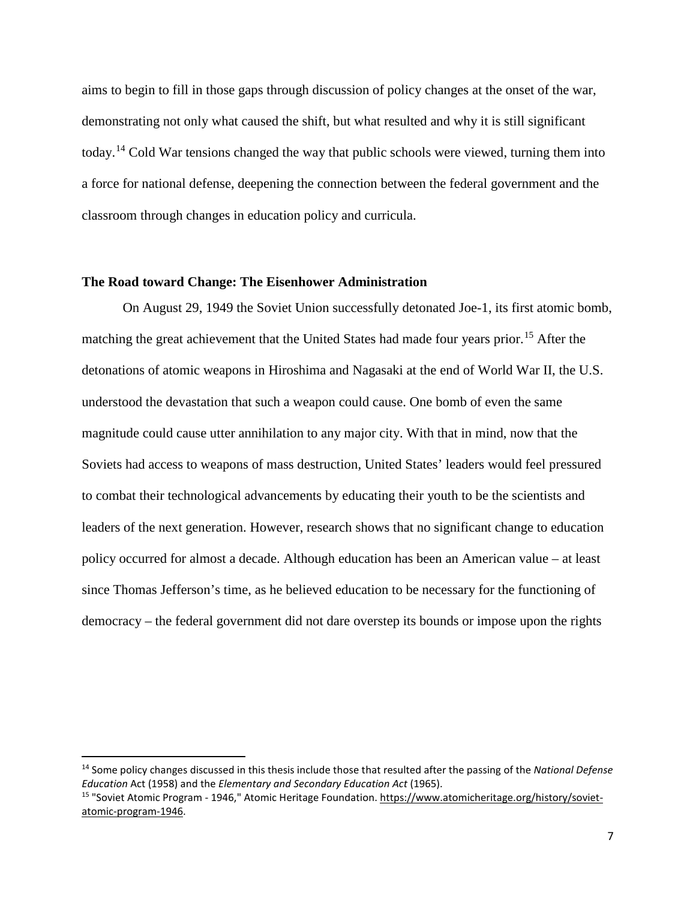aims to begin to fill in those gaps through discussion of policy changes at the onset of the war, demonstrating not only what caused the shift, but what resulted and why it is still significant today.[14](#page-10-0) Cold War tensions changed the way that public schools were viewed, turning them into a force for national defense, deepening the connection between the federal government and the classroom through changes in education policy and curricula.

#### **The Road toward Change: The Eisenhower Administration**

On August 29, 1949 the Soviet Union successfully detonated Joe-1, its first atomic bomb, matching the great achievement that the United States had made four years prior.<sup>[15](#page-10-1)</sup> After the detonations of atomic weapons in Hiroshima and Nagasaki at the end of World War II, the U.S. understood the devastation that such a weapon could cause. One bomb of even the same magnitude could cause utter annihilation to any major city. With that in mind, now that the Soviets had access to weapons of mass destruction, United States' leaders would feel pressured to combat their technological advancements by educating their youth to be the scientists and leaders of the next generation. However, research shows that no significant change to education policy occurred for almost a decade. Although education has been an American value – at least since Thomas Jefferson's time, as he believed education to be necessary for the functioning of democracy – the federal government did not dare overstep its bounds or impose upon the rights

<span id="page-10-0"></span> <sup>14</sup> Some policy changes discussed in this thesis include those that resulted after the passing of the *National Defense Education* Act (1958) and the *Elementary and Secondary Education Act* (1965).

<span id="page-10-1"></span><sup>15</sup> "Soviet Atomic Program - 1946," Atomic Heritage Foundation[. https://www.atomicheritage.org/history/soviet](https://www.atomicheritage.org/history/soviet-atomic-program-1946)[atomic-program-1946.](https://www.atomicheritage.org/history/soviet-atomic-program-1946)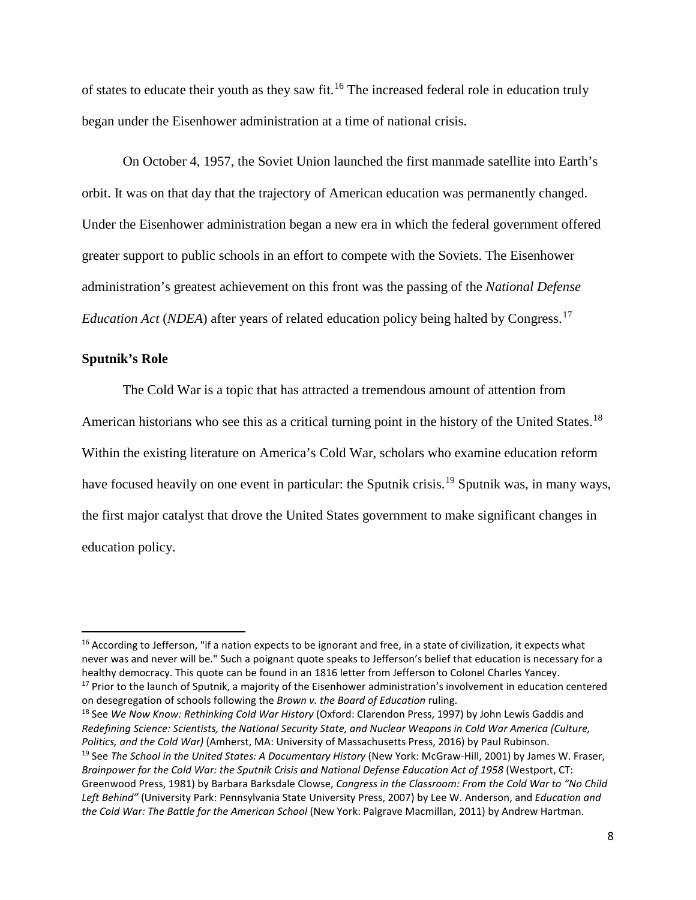of states to educate their youth as they saw fit.[16](#page-11-0) The increased federal role in education truly began under the Eisenhower administration at a time of national crisis.

On October 4, 1957, the Soviet Union launched the first manmade satellite into Earth's orbit. It was on that day that the trajectory of American education was permanently changed. Under the Eisenhower administration began a new era in which the federal government offered greater support to public schools in an effort to compete with the Soviets. The Eisenhower administration's greatest achievement on this front was the passing of the *National Defense Education Act* (*NDEA*) after years of related education policy being halted by Congress.<sup>[17](#page-11-1)</sup>

#### **Sputnik's Role**

The Cold War is a topic that has attracted a tremendous amount of attention from American historians who see this as a critical turning point in the history of the United States.<sup>[18](#page-11-2)</sup> Within the existing literature on America's Cold War, scholars who examine education reform have focused heavily on one event in particular: the Sputnik crisis.<sup>[19](#page-11-3)</sup> Sputnik was, in many ways, the first major catalyst that drove the United States government to make significant changes in education policy.

<span id="page-11-3"></span><span id="page-11-2"></span><span id="page-11-1"></span><sup>18</sup> See *We Now Know: Rethinking Cold War History* (Oxford: Clarendon Press, 1997) by John Lewis Gaddis and *Redefining Science: Scientists, the National Security State, and Nuclear Weapons in Cold War America (Culture, Politics, and the Cold War)* (Amherst, MA: University of Massachusetts Press, 2016) by Paul Rubinson. <sup>19</sup> See *The School in the United States: A Documentary History* (New York: McGraw-Hill, 2001) by James W. Fraser, *Brainpower for the Cold War: the Sputnik Crisis and National Defense Education Act of 1958* (Westport, CT: Greenwood Press, 1981) by Barbara Barksdale Clowse, *Congress in the Classroom: From the Cold War to "No Child Left Behind"* (University Park: Pennsylvania State University Press, 2007) by Lee W. Anderson, and *Education and the Cold War: The Battle for the American School (New York: Palgrave Macmillan, 2011) by Andrew Hartman.* 

<span id="page-11-0"></span><sup>&</sup>lt;sup>16</sup> According to Jefferson, "if a nation expects to be ignorant and free, in a state of civilization, it expects what never was and never will be." Such a poignant quote speaks to Jefferson's belief that education is necessary for a healthy democracy. This quote can be found in an 1816 letter from Jefferson to Colonel Charles Yancey. <sup>17</sup> Prior to the launch of Sputnik, a majority of the Eisenhower administration's involvement in education centered on desegregation of schools following the *Brown v. the Board of Education* ruling.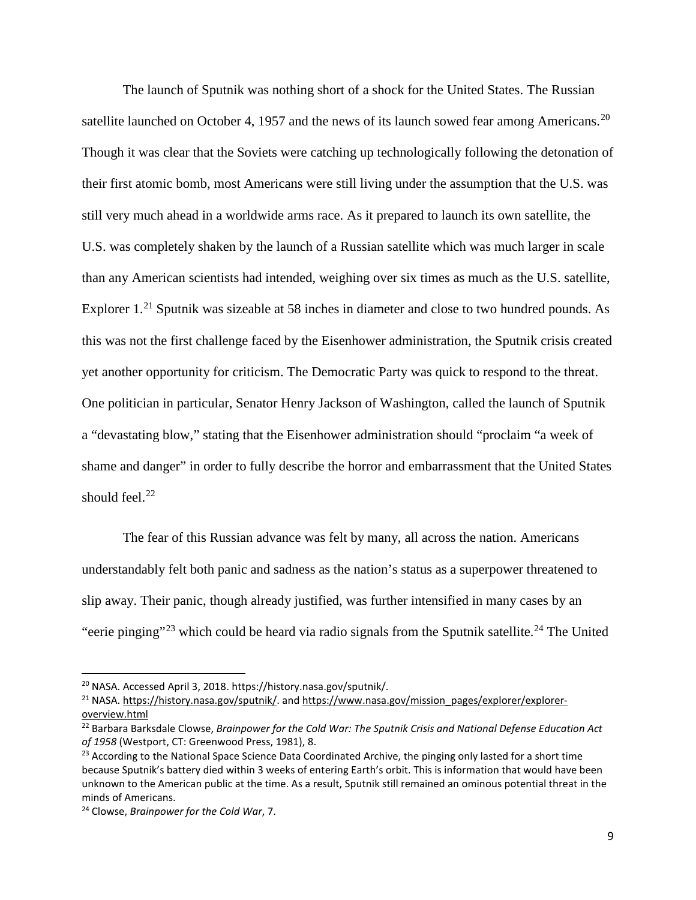The launch of Sputnik was nothing short of a shock for the United States. The Russian satellite launched on October 4, 1957 and the news of its launch sowed fear among Americans.<sup>[20](#page-12-0)</sup> Though it was clear that the Soviets were catching up technologically following the detonation of their first atomic bomb, most Americans were still living under the assumption that the U.S. was still very much ahead in a worldwide arms race. As it prepared to launch its own satellite, the U.S. was completely shaken by the launch of a Russian satellite which was much larger in scale than any American scientists had intended, weighing over six times as much as the U.S. satellite, Explorer 1.<sup>[21](#page-12-1)</sup> Sputnik was sizeable at 58 inches in diameter and close to two hundred pounds. As this was not the first challenge faced by the Eisenhower administration, the Sputnik crisis created yet another opportunity for criticism. The Democratic Party was quick to respond to the threat. One politician in particular, Senator Henry Jackson of Washington, called the launch of Sputnik a "devastating blow," stating that the Eisenhower administration should "proclaim "a week of shame and danger" in order to fully describe the horror and embarrassment that the United States should feel. $^{22}$  $^{22}$  $^{22}$ 

The fear of this Russian advance was felt by many, all across the nation. Americans understandably felt both panic and sadness as the nation's status as a superpower threatened to slip away. Their panic, though already justified, was further intensified in many cases by an "eerie pinging"<sup>[23](#page-12-3)</sup> which could be heard via radio signals from the Sputnik satellite.<sup>[24](#page-12-4)</sup> The United

<span id="page-12-0"></span> <sup>20</sup> NASA. Accessed April 3, 2018. https://history.nasa.gov/sputnik/.

<span id="page-12-1"></span><sup>&</sup>lt;sup>21</sup> NASA. [https://history.nasa.gov/sputnik/.](https://history.nasa.gov/sputnik/) and [https://www.nasa.gov/mission\\_pages/explorer/explorer](https://www.nasa.gov/mission_pages/explorer/explorer-overview.html)[overview.html](https://www.nasa.gov/mission_pages/explorer/explorer-overview.html)

<span id="page-12-2"></span><sup>22</sup> Barbara Barksdale Clowse, *Brainpower for the Cold War: The Sputnik Crisis and National Defense Education Act of 1958* (Westport, CT: Greenwood Press, 1981), 8.

<span id="page-12-3"></span><sup>&</sup>lt;sup>23</sup> According to the National Space Science Data Coordinated Archive, the pinging only lasted for a short time because Sputnik's battery died within 3 weeks of entering Earth's orbit. This is information that would have been unknown to the American public at the time. As a result, Sputnik still remained an ominous potential threat in the minds of Americans.

<span id="page-12-4"></span><sup>24</sup> Clowse, *Brainpower for the Cold War*, 7.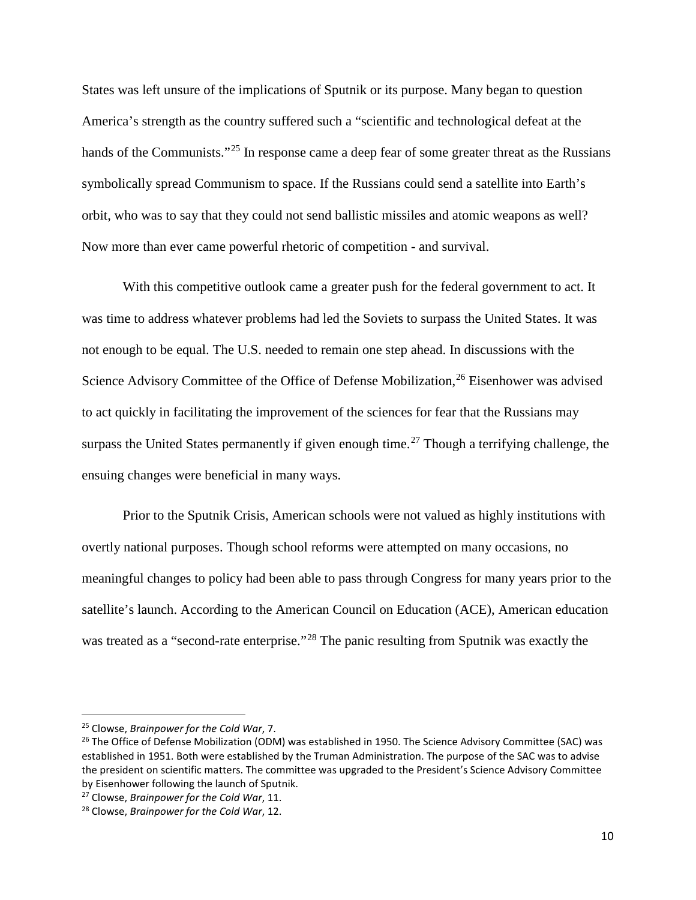States was left unsure of the implications of Sputnik or its purpose. Many began to question America's strength as the country suffered such a "scientific and technological defeat at the hands of the Communists."<sup>[25](#page-13-0)</sup> In response came a deep fear of some greater threat as the Russians symbolically spread Communism to space. If the Russians could send a satellite into Earth's orbit, who was to say that they could not send ballistic missiles and atomic weapons as well? Now more than ever came powerful rhetoric of competition - and survival.

With this competitive outlook came a greater push for the federal government to act. It was time to address whatever problems had led the Soviets to surpass the United States. It was not enough to be equal. The U.S. needed to remain one step ahead. In discussions with the Science Advisory Committee of the Office of Defense Mobilization,<sup>[26](#page-13-1)</sup> Eisenhower was advised to act quickly in facilitating the improvement of the sciences for fear that the Russians may surpass the United States permanently if given enough time.<sup>[27](#page-13-2)</sup> Though a terrifying challenge, the ensuing changes were beneficial in many ways.

Prior to the Sputnik Crisis, American schools were not valued as highly institutions with overtly national purposes. Though school reforms were attempted on many occasions, no meaningful changes to policy had been able to pass through Congress for many years prior to the satellite's launch. According to the American Council on Education (ACE), American education was treated as a "second-rate enterprise."<sup>[28](#page-13-3)</sup> The panic resulting from Sputnik was exactly the

<span id="page-13-0"></span> <sup>25</sup> Clowse, *Brainpower for the Cold War*, 7.

<span id="page-13-1"></span><sup>&</sup>lt;sup>26</sup> The Office of Defense Mobilization (ODM) was established in 1950. The Science Advisory Committee (SAC) was established in 1951. Both were established by the Truman Administration. The purpose of the SAC was to advise the president on scientific matters. The committee was upgraded to the President's Science Advisory Committee by Eisenhower following the launch of Sputnik.

<span id="page-13-2"></span><sup>27</sup> Clowse, *Brainpower for the Cold War*, 11.

<span id="page-13-3"></span><sup>28</sup> Clowse, *Brainpower for the Cold War*, 12.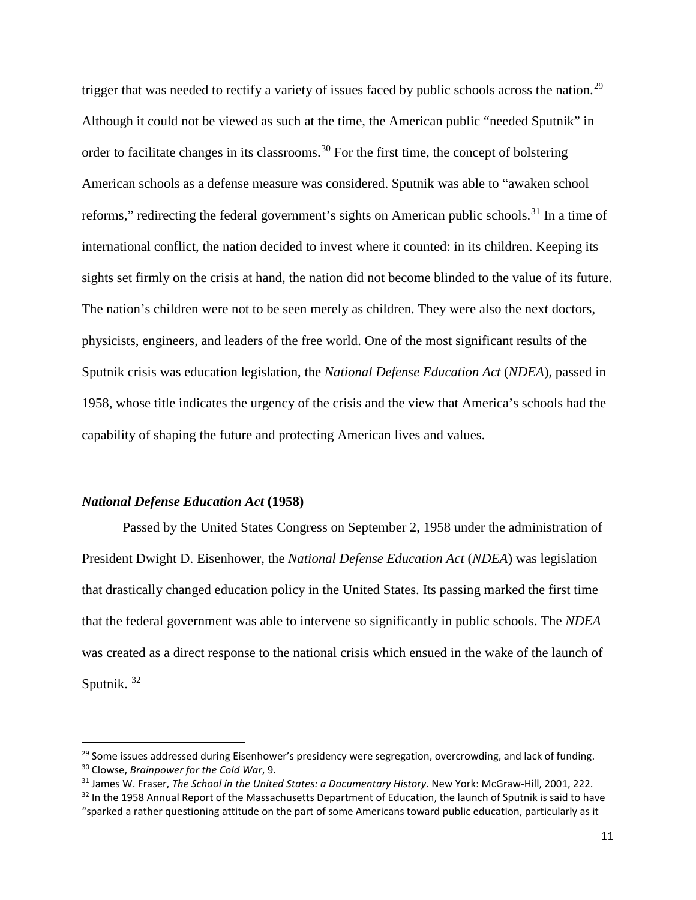trigger that was needed to rectify a variety of issues faced by public schools across the nation.<sup>[29](#page-14-0)</sup> Although it could not be viewed as such at the time, the American public "needed Sputnik" in order to facilitate changes in its classrooms.<sup>[30](#page-14-1)</sup> For the first time, the concept of bolstering American schools as a defense measure was considered. Sputnik was able to "awaken school reforms," redirecting the federal government's sights on American public schools.<sup>[31](#page-14-2)</sup> In a time of international conflict, the nation decided to invest where it counted: in its children. Keeping its sights set firmly on the crisis at hand, the nation did not become blinded to the value of its future. The nation's children were not to be seen merely as children. They were also the next doctors, physicists, engineers, and leaders of the free world. One of the most significant results of the Sputnik crisis was education legislation, the *National Defense Education Act* (*NDEA*), passed in 1958, whose title indicates the urgency of the crisis and the view that America's schools had the capability of shaping the future and protecting American lives and values.

#### *National Defense Education Act* **(1958)**

Passed by the United States Congress on September 2, 1958 under the administration of President Dwight D. Eisenhower, the *National Defense Education Act* (*NDEA*) was legislation that drastically changed education policy in the United States. Its passing marked the first time that the federal government was able to intervene so significantly in public schools. The *NDEA* was created as a direct response to the national crisis which ensued in the wake of the launch of Sputnik.<sup>[32](#page-14-3)</sup>

<span id="page-14-0"></span> $29$  Some issues addressed during Eisenhower's presidency were segregation, overcrowding, and lack of funding. <sup>30</sup> Clowse, *Brainpower for the Cold War*, 9.

<span id="page-14-2"></span><span id="page-14-1"></span><sup>31</sup> James W. Fraser, *The School in the United States: a Documentary History*. New York: McGraw-Hill, 2001, 222.

<span id="page-14-3"></span><sup>&</sup>lt;sup>32</sup> In the 1958 Annual Report of the Massachusetts Department of Education, the launch of Sputnik is said to have "sparked a rather questioning attitude on the part of some Americans toward public education, particularly as it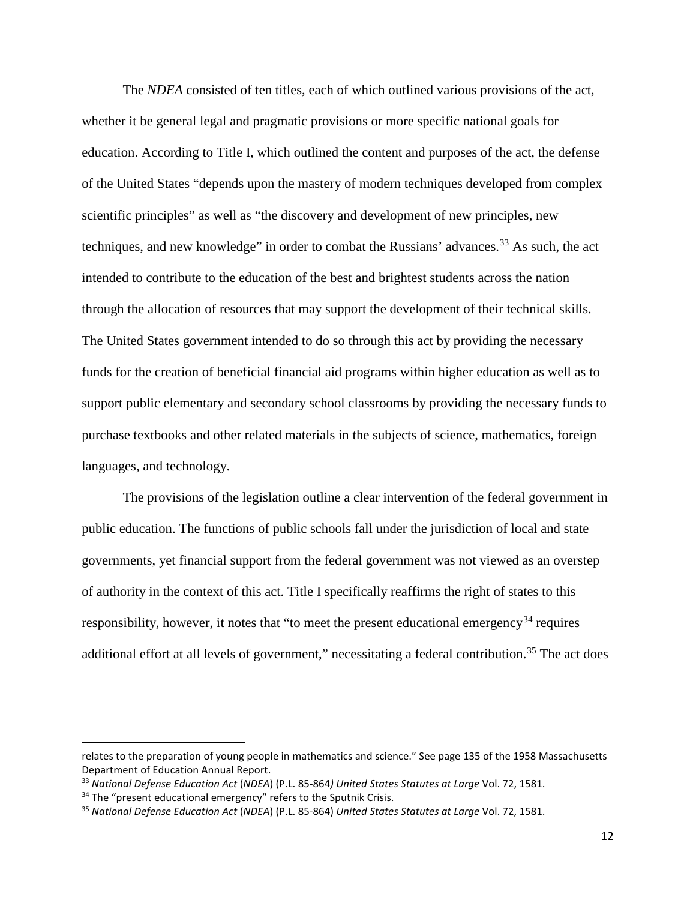The *NDEA* consisted of ten titles, each of which outlined various provisions of the act, whether it be general legal and pragmatic provisions or more specific national goals for education. According to Title I, which outlined the content and purposes of the act, the defense of the United States "depends upon the mastery of modern techniques developed from complex scientific principles" as well as "the discovery and development of new principles, new techniques, and new knowledge" in order to combat the Russians' advances.<sup>[33](#page-15-0)</sup> As such, the act intended to contribute to the education of the best and brightest students across the nation through the allocation of resources that may support the development of their technical skills. The United States government intended to do so through this act by providing the necessary funds for the creation of beneficial financial aid programs within higher education as well as to support public elementary and secondary school classrooms by providing the necessary funds to purchase textbooks and other related materials in the subjects of science, mathematics, foreign languages, and technology.

The provisions of the legislation outline a clear intervention of the federal government in public education. The functions of public schools fall under the jurisdiction of local and state governments, yet financial support from the federal government was not viewed as an overstep of authority in the context of this act. Title I specifically reaffirms the right of states to this responsibility, however, it notes that "to meet the present educational emergency<sup>[34](#page-15-1)</sup> requires additional effort at all levels of government," necessitating a federal contribution.<sup>[35](#page-15-2)</sup> The act does

 $\overline{a}$ 

relates to the preparation of young people in mathematics and science." See page 135 of the 1958 Massachusetts Department of Education Annual Report.

<span id="page-15-0"></span><sup>33</sup> *National Defense Education Act* (*NDEA*) (P.L. 85-864*) United States Statutes at Large* Vol. 72, 1581.

<span id="page-15-1"></span><sup>&</sup>lt;sup>34</sup> The "present educational emergency" refers to the Sputnik Crisis.

<span id="page-15-2"></span><sup>35</sup> *National Defense Education Act* (*NDEA*) (P.L. 85-864) *United States Statutes at Large* Vol. 72, 1581.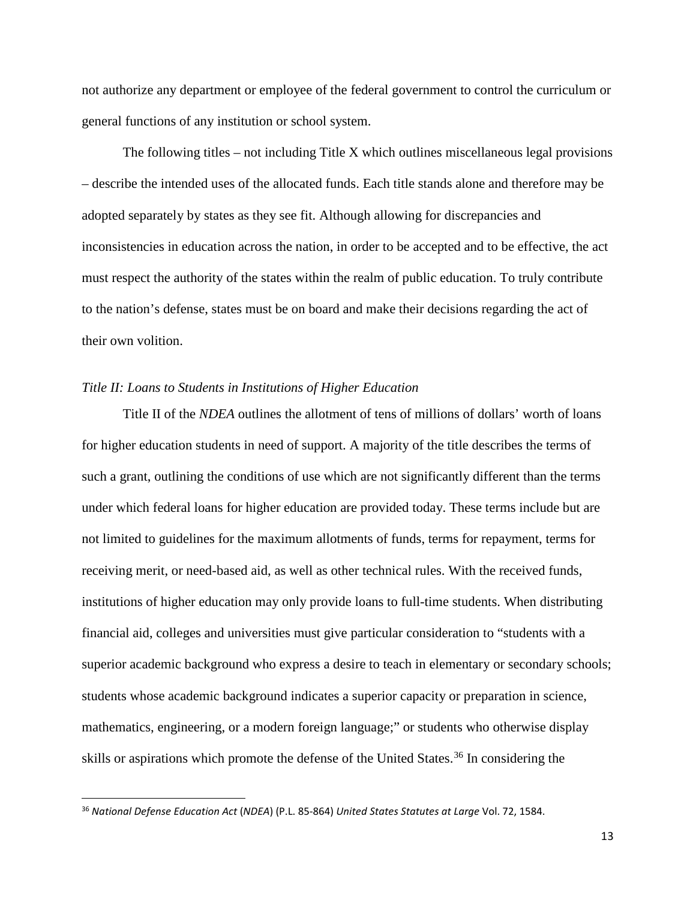not authorize any department or employee of the federal government to control the curriculum or general functions of any institution or school system.

The following titles – not including Title X which outlines miscellaneous legal provisions – describe the intended uses of the allocated funds. Each title stands alone and therefore may be adopted separately by states as they see fit. Although allowing for discrepancies and inconsistencies in education across the nation, in order to be accepted and to be effective, the act must respect the authority of the states within the realm of public education. To truly contribute to the nation's defense, states must be on board and make their decisions regarding the act of their own volition.

#### *Title II: Loans to Students in Institutions of Higher Education*

Title II of the *NDEA* outlines the allotment of tens of millions of dollars' worth of loans for higher education students in need of support. A majority of the title describes the terms of such a grant, outlining the conditions of use which are not significantly different than the terms under which federal loans for higher education are provided today. These terms include but are not limited to guidelines for the maximum allotments of funds, terms for repayment, terms for receiving merit, or need-based aid, as well as other technical rules. With the received funds, institutions of higher education may only provide loans to full-time students. When distributing financial aid, colleges and universities must give particular consideration to "students with a superior academic background who express a desire to teach in elementary or secondary schools; students whose academic background indicates a superior capacity or preparation in science, mathematics, engineering, or a modern foreign language;" or students who otherwise display skills or aspirations which promote the defense of the United States.<sup>[36](#page-16-0)</sup> In considering the

13

<span id="page-16-0"></span> <sup>36</sup> *National Defense Education Act* (*NDEA*) (P.L. 85-864) *United States Statutes at Large* Vol. 72, 1584.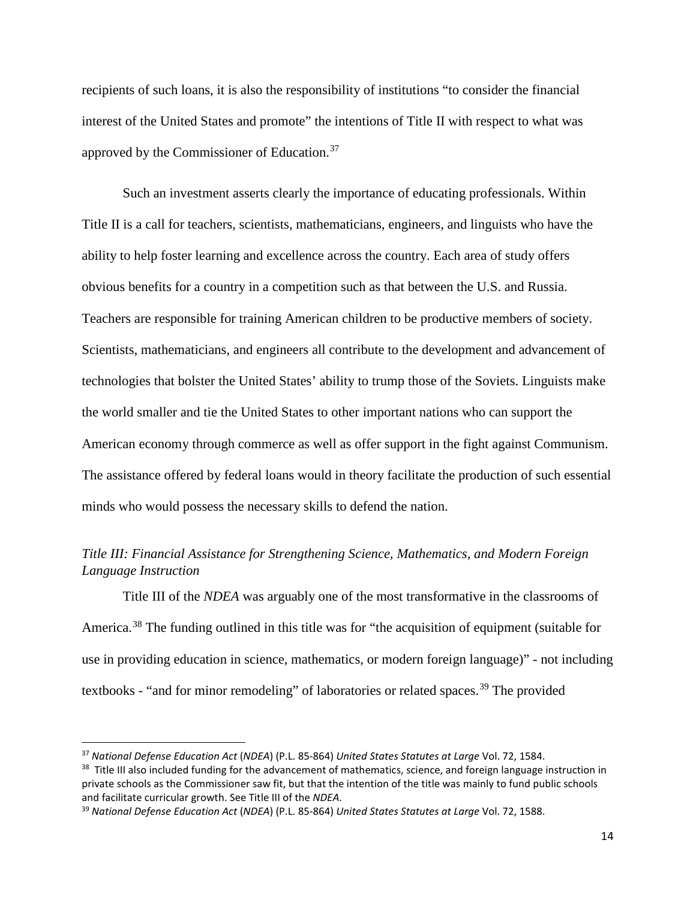recipients of such loans, it is also the responsibility of institutions "to consider the financial interest of the United States and promote" the intentions of Title II with respect to what was approved by the Commissioner of Education.[37](#page-17-0)

Such an investment asserts clearly the importance of educating professionals. Within Title II is a call for teachers, scientists, mathematicians, engineers, and linguists who have the ability to help foster learning and excellence across the country. Each area of study offers obvious benefits for a country in a competition such as that between the U.S. and Russia. Teachers are responsible for training American children to be productive members of society. Scientists, mathematicians, and engineers all contribute to the development and advancement of technologies that bolster the United States' ability to trump those of the Soviets. Linguists make the world smaller and tie the United States to other important nations who can support the American economy through commerce as well as offer support in the fight against Communism. The assistance offered by federal loans would in theory facilitate the production of such essential minds who would possess the necessary skills to defend the nation.

### *Title III: Financial Assistance for Strengthening Science, Mathematics, and Modern Foreign Language Instruction*

Title III of the *NDEA* was arguably one of the most transformative in the classrooms of America.<sup>[38](#page-17-1)</sup> The funding outlined in this title was for "the acquisition of equipment (suitable for use in providing education in science, mathematics, or modern foreign language)" - not including textbooks - "and for minor remodeling" of laboratories or related spaces.<sup>[39](#page-17-2)</sup> The provided

<span id="page-17-0"></span> <sup>37</sup> *National Defense Education Act* (*NDEA*) (P.L. 85-864) *United States Statutes at Large* Vol. 72, 1584.

<span id="page-17-1"></span><sup>&</sup>lt;sup>38</sup> Title III also included funding for the advancement of mathematics, science, and foreign language instruction in private schools as the Commissioner saw fit, but that the intention of the title was mainly to fund public schools and facilitate curricular growth. See Title III of the *NDEA*.

<span id="page-17-2"></span><sup>39</sup> *National Defense Education Act* (*NDEA*) (P.L. 85-864) *United States Statutes at Large* Vol. 72, 1588.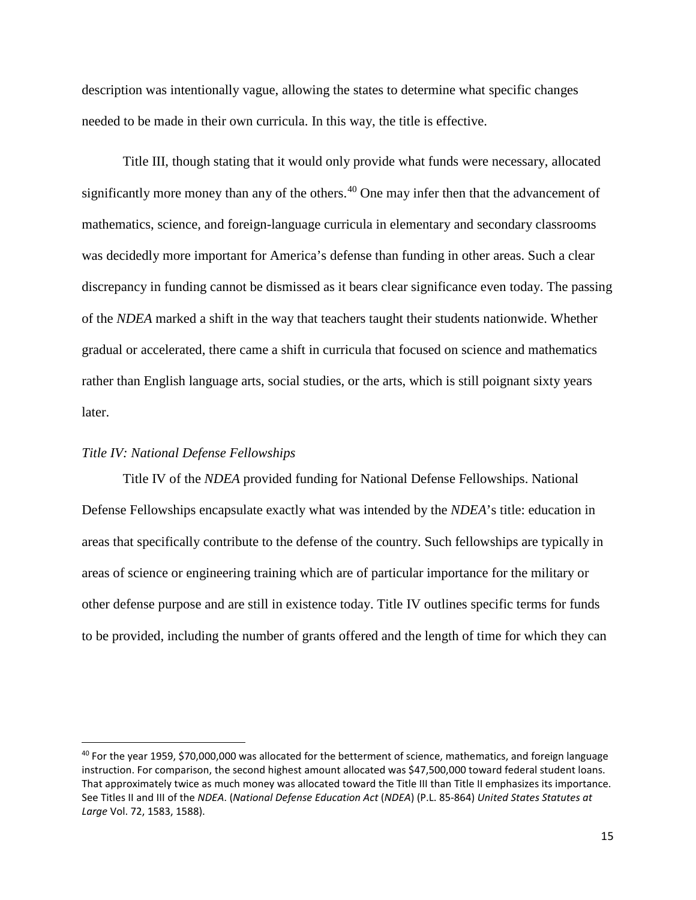description was intentionally vague, allowing the states to determine what specific changes needed to be made in their own curricula. In this way, the title is effective.

Title III, though stating that it would only provide what funds were necessary, allocated significantly more money than any of the others.<sup>[40](#page-18-0)</sup> One may infer then that the advancement of mathematics, science, and foreign-language curricula in elementary and secondary classrooms was decidedly more important for America's defense than funding in other areas. Such a clear discrepancy in funding cannot be dismissed as it bears clear significance even today. The passing of the *NDEA* marked a shift in the way that teachers taught their students nationwide. Whether gradual or accelerated, there came a shift in curricula that focused on science and mathematics rather than English language arts, social studies, or the arts, which is still poignant sixty years later.

#### *Title IV: National Defense Fellowships*

Title IV of the *NDEA* provided funding for National Defense Fellowships. National Defense Fellowships encapsulate exactly what was intended by the *NDEA*'s title: education in areas that specifically contribute to the defense of the country. Such fellowships are typically in areas of science or engineering training which are of particular importance for the military or other defense purpose and are still in existence today. Title IV outlines specific terms for funds to be provided, including the number of grants offered and the length of time for which they can

<span id="page-18-0"></span><sup>&</sup>lt;sup>40</sup> For the year 1959, \$70,000,000 was allocated for the betterment of science, mathematics, and foreign language instruction. For comparison, the second highest amount allocated was \$47,500,000 toward federal student loans. That approximately twice as much money was allocated toward the Title III than Title II emphasizes its importance. See Titles II and III of the *NDEA*. (*National Defense Education Act* (*NDEA*) (P.L. 85-864) *United States Statutes at Large* Vol. 72, 1583, 1588).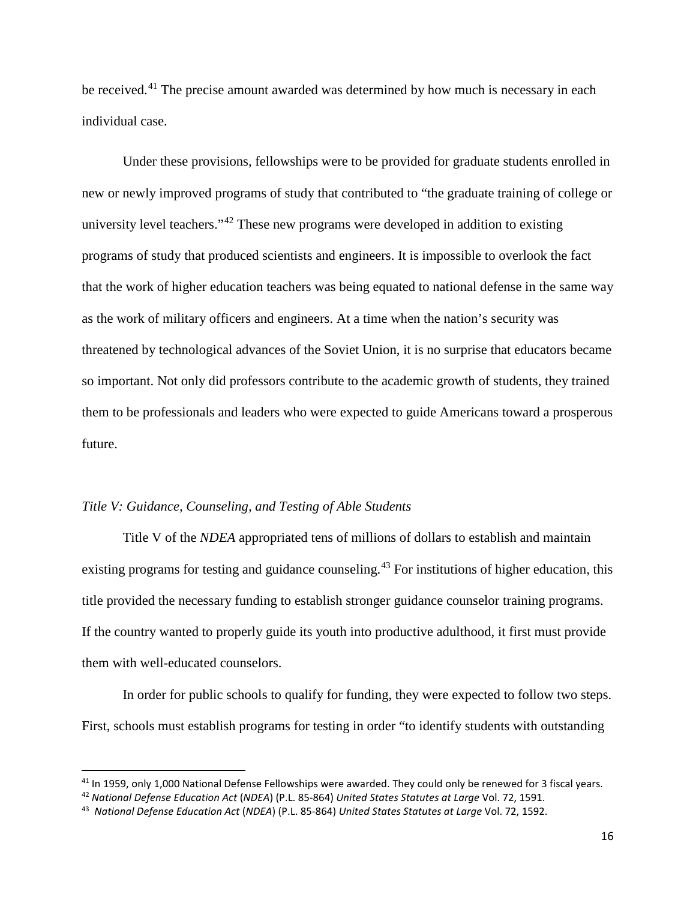be received.<sup>[41](#page-19-0)</sup> The precise amount awarded was determined by how much is necessary in each individual case.

Under these provisions, fellowships were to be provided for graduate students enrolled in new or newly improved programs of study that contributed to "the graduate training of college or university level teachers."[42](#page-19-1) These new programs were developed in addition to existing programs of study that produced scientists and engineers. It is impossible to overlook the fact that the work of higher education teachers was being equated to national defense in the same way as the work of military officers and engineers. At a time when the nation's security was threatened by technological advances of the Soviet Union, it is no surprise that educators became so important. Not only did professors contribute to the academic growth of students, they trained them to be professionals and leaders who were expected to guide Americans toward a prosperous future.

#### *Title V: Guidance, Counseling, and Testing of Able Students*

Title V of the *NDEA* appropriated tens of millions of dollars to establish and maintain existing programs for testing and guidance counseling.<sup>[43](#page-19-2)</sup> For institutions of higher education, this title provided the necessary funding to establish stronger guidance counselor training programs. If the country wanted to properly guide its youth into productive adulthood, it first must provide them with well-educated counselors.

In order for public schools to qualify for funding, they were expected to follow two steps. First, schools must establish programs for testing in order "to identify students with outstanding

<span id="page-19-1"></span><span id="page-19-0"></span><sup>&</sup>lt;sup>41</sup> In 1959, only 1,000 National Defense Fellowships were awarded. They could only be renewed for 3 fiscal years.<br><sup>42</sup> National Defense Education Act (NDEA) (P.L. 85-864) United States Statutes at Large Vol. 72, 1591.

<span id="page-19-2"></span><sup>43</sup> *National Defense Education Act* (*NDEA*) (P.L. 85-864) *United States Statutes at Large* Vol. 72, 1592.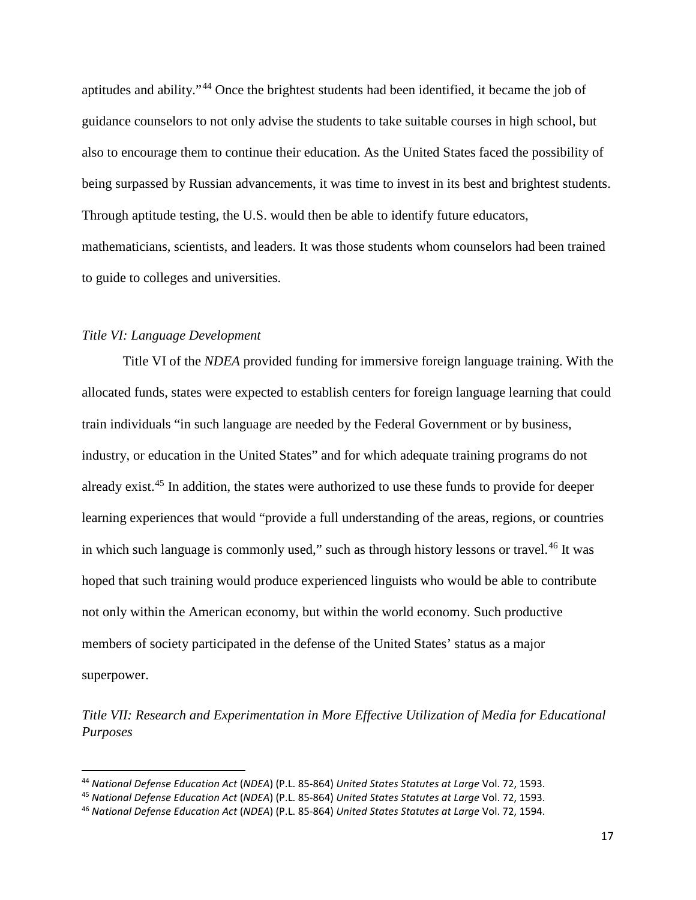aptitudes and ability."[44](#page-20-0) Once the brightest students had been identified, it became the job of guidance counselors to not only advise the students to take suitable courses in high school, but also to encourage them to continue their education. As the United States faced the possibility of being surpassed by Russian advancements, it was time to invest in its best and brightest students. Through aptitude testing, the U.S. would then be able to identify future educators, mathematicians, scientists, and leaders. It was those students whom counselors had been trained to guide to colleges and universities.

#### *Title VI: Language Development*

Title VI of the *NDEA* provided funding for immersive foreign language training. With the allocated funds, states were expected to establish centers for foreign language learning that could train individuals "in such language are needed by the Federal Government or by business, industry, or education in the United States" and for which adequate training programs do not already exist.<sup>[45](#page-20-1)</sup> In addition, the states were authorized to use these funds to provide for deeper learning experiences that would "provide a full understanding of the areas, regions, or countries in which such language is commonly used," such as through history lessons or travel. [46](#page-20-2) It was hoped that such training would produce experienced linguists who would be able to contribute not only within the American economy, but within the world economy. Such productive members of society participated in the defense of the United States' status as a major superpower.

*Title VII: Research and Experimentation in More Effective Utilization of Media for Educational Purposes*

<span id="page-20-0"></span> <sup>44</sup> *National Defense Education Act* (*NDEA*) (P.L. 85-864) *United States Statutes at Large* Vol. 72, 1593.

<span id="page-20-1"></span><sup>45</sup> *National Defense Education Act* (*NDEA*) (P.L. 85-864) *United States Statutes at Large* Vol. 72, 1593.

<span id="page-20-2"></span><sup>46</sup> *National Defense Education Act* (*NDEA*) (P.L. 85-864) *United States Statutes at Large* Vol. 72, 1594.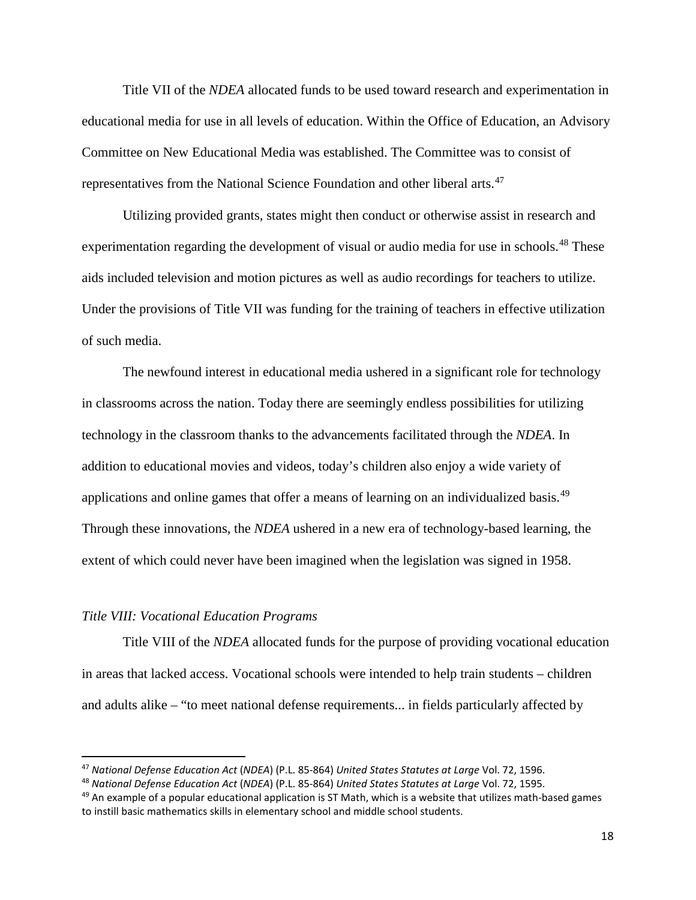Title VII of the *NDEA* allocated funds to be used toward research and experimentation in educational media for use in all levels of education. Within the Office of Education, an Advisory Committee on New Educational Media was established. The Committee was to consist of representatives from the National Science Foundation and other liberal arts.<sup>[47](#page-21-0)</sup>

Utilizing provided grants, states might then conduct or otherwise assist in research and experimentation regarding the development of visual or audio media for use in schools.<sup>[48](#page-21-1)</sup> These aids included television and motion pictures as well as audio recordings for teachers to utilize. Under the provisions of Title VII was funding for the training of teachers in effective utilization of such media.

The newfound interest in educational media ushered in a significant role for technology in classrooms across the nation. Today there are seemingly endless possibilities for utilizing technology in the classroom thanks to the advancements facilitated through the *NDEA*. In addition to educational movies and videos, today's children also enjoy a wide variety of applications and online games that offer a means of learning on an individualized basis.<sup>[49](#page-21-2)</sup> Through these innovations, the *NDEA* ushered in a new era of technology-based learning, the extent of which could never have been imagined when the legislation was signed in 1958.

#### *Title VIII: Vocational Education Programs*

Title VIII of the *NDEA* allocated funds for the purpose of providing vocational education in areas that lacked access. Vocational schools were intended to help train students – children and adults alike – "to meet national defense requirements... in fields particularly affected by

<span id="page-21-0"></span> <sup>47</sup> *National Defense Education Act* (*NDEA*) (P.L. 85-864) *United States Statutes at Large* Vol. 72, 1596.

<span id="page-21-1"></span><sup>48</sup> *National Defense Education Act* (*NDEA*) (P.L. 85-864) *United States Statutes at Large* Vol. 72, 1595.

<span id="page-21-2"></span> $49$  An example of a popular educational application is ST Math, which is a website that utilizes math-based games to instill basic mathematics skills in elementary school and middle school students.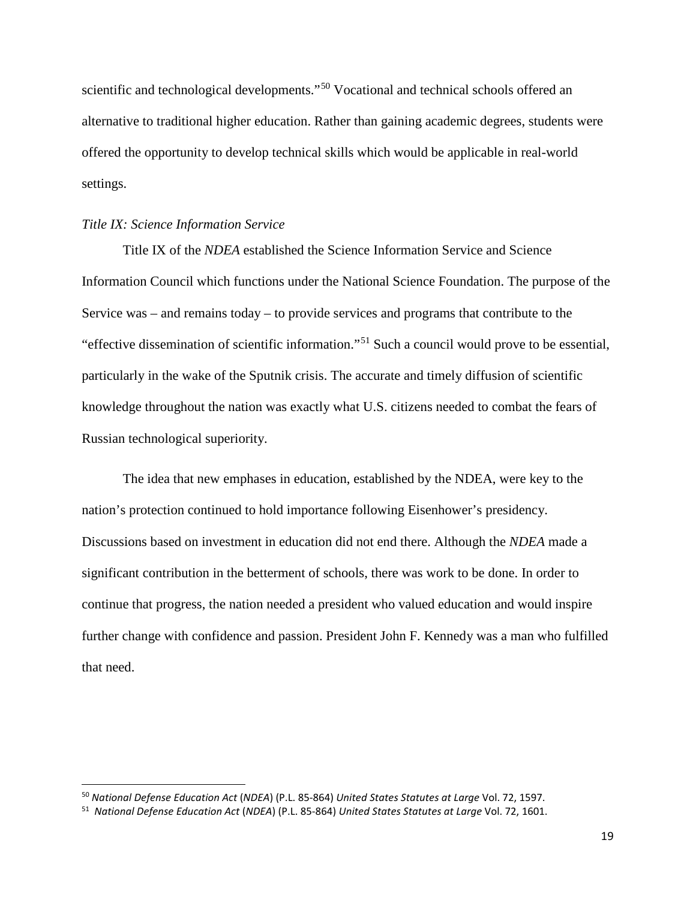scientific and technological developments."<sup>[50](#page-22-0)</sup> Vocational and technical schools offered an alternative to traditional higher education. Rather than gaining academic degrees, students were offered the opportunity to develop technical skills which would be applicable in real-world settings.

#### *Title IX: Science Information Service*

Title IX of the *NDEA* established the Science Information Service and Science Information Council which functions under the National Science Foundation. The purpose of the Service was – and remains today – to provide services and programs that contribute to the "effective dissemination of scientific information."[51](#page-22-1) Such a council would prove to be essential, particularly in the wake of the Sputnik crisis. The accurate and timely diffusion of scientific knowledge throughout the nation was exactly what U.S. citizens needed to combat the fears of Russian technological superiority.

The idea that new emphases in education, established by the NDEA, were key to the nation's protection continued to hold importance following Eisenhower's presidency. Discussions based on investment in education did not end there. Although the *NDEA* made a significant contribution in the betterment of schools, there was work to be done. In order to continue that progress, the nation needed a president who valued education and would inspire further change with confidence and passion. President John F. Kennedy was a man who fulfilled that need.

<span id="page-22-0"></span> <sup>50</sup> *National Defense Education Act* (*NDEA*) (P.L. 85-864) *United States Statutes at Large* Vol. 72, 1597.

<span id="page-22-1"></span><sup>51</sup> *National Defense Education Act* (*NDEA*) (P.L. 85-864) *United States Statutes at Large* Vol. 72, 1601.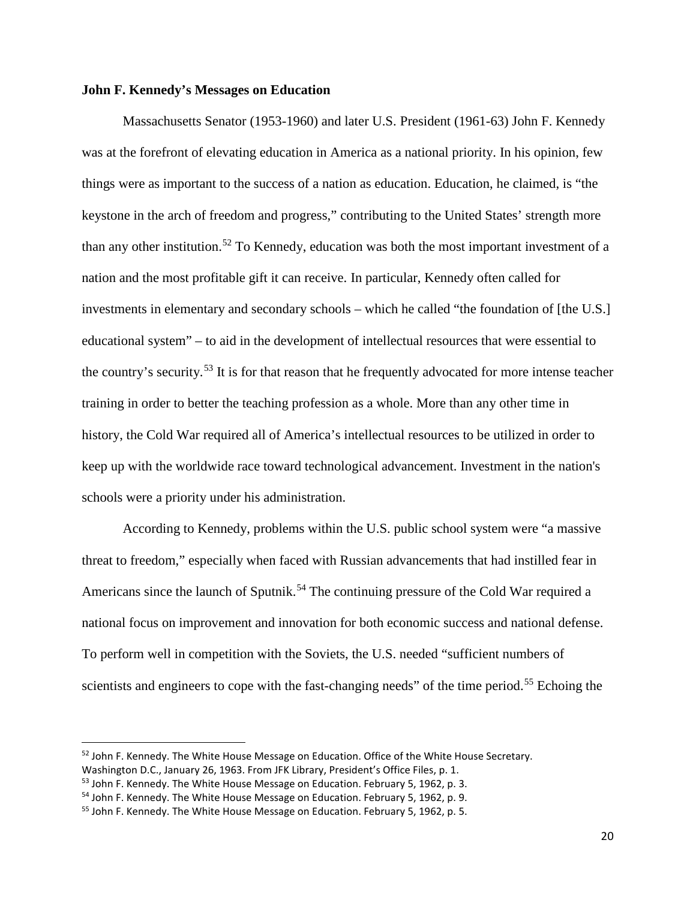#### **John F. Kennedy's Messages on Education**

Massachusetts Senator (1953-1960) and later U.S. President (1961-63) John F. Kennedy was at the forefront of elevating education in America as a national priority. In his opinion, few things were as important to the success of a nation as education. Education, he claimed, is "the keystone in the arch of freedom and progress," contributing to the United States' strength more than any other institution.[52](#page-23-0) To Kennedy, education was both the most important investment of a nation and the most profitable gift it can receive. In particular, Kennedy often called for investments in elementary and secondary schools – which he called "the foundation of [the U.S.] educational system" – to aid in the development of intellectual resources that were essential to the country's security.<sup>[53](#page-23-1)</sup> It is for that reason that he frequently advocated for more intense teacher training in order to better the teaching profession as a whole. More than any other time in history, the Cold War required all of America's intellectual resources to be utilized in order to keep up with the worldwide race toward technological advancement. Investment in the nation's schools were a priority under his administration.

According to Kennedy, problems within the U.S. public school system were "a massive threat to freedom," especially when faced with Russian advancements that had instilled fear in Americans since the launch of Sputnik.<sup>[54](#page-23-2)</sup> The continuing pressure of the Cold War required a national focus on improvement and innovation for both economic success and national defense. To perform well in competition with the Soviets, the U.S. needed "sufficient numbers of scientists and engineers to cope with the fast-changing needs" of the time period.<sup>[55](#page-23-3)</sup> Echoing the

<span id="page-23-0"></span><sup>&</sup>lt;sup>52</sup> John F. Kennedy. The White House Message on Education. Office of the White House Secretary.

Washington D.C., January 26, 1963. From JFK Library, President's Office Files, p. 1.

<span id="page-23-1"></span><sup>&</sup>lt;sup>53</sup> John F. Kennedy. The White House Message on Education. February 5, 1962, p. 3.

<span id="page-23-2"></span><sup>&</sup>lt;sup>54</sup> John F. Kennedy. The White House Message on Education. February 5, 1962, p. 9.

<span id="page-23-3"></span><sup>55</sup> John F. Kennedy. The White House Message on Education. February 5, 1962, p. 5.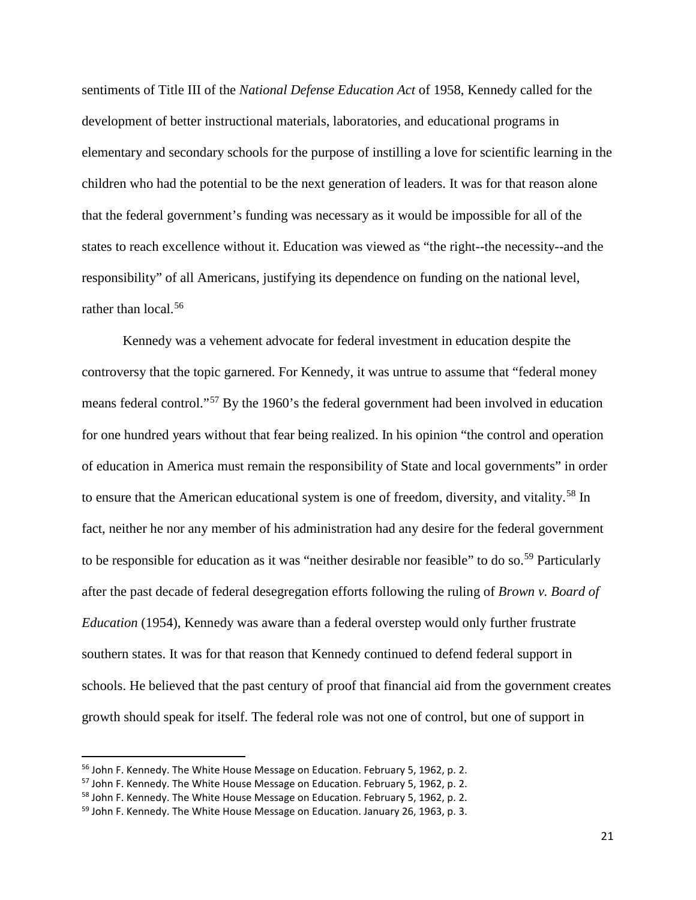sentiments of Title III of the *National Defense Education Act* of 1958, Kennedy called for the development of better instructional materials, laboratories, and educational programs in elementary and secondary schools for the purpose of instilling a love for scientific learning in the children who had the potential to be the next generation of leaders. It was for that reason alone that the federal government's funding was necessary as it would be impossible for all of the states to reach excellence without it. Education was viewed as "the right--the necessity--and the responsibility" of all Americans, justifying its dependence on funding on the national level, rather than local.<sup>[56](#page-24-0)</sup>

Kennedy was a vehement advocate for federal investment in education despite the controversy that the topic garnered. For Kennedy, it was untrue to assume that "federal money means federal control."[57](#page-24-1) By the 1960's the federal government had been involved in education for one hundred years without that fear being realized. In his opinion "the control and operation of education in America must remain the responsibility of State and local governments" in order to ensure that the American educational system is one of freedom, diversity, and vitality.<sup>[58](#page-24-2)</sup> In fact, neither he nor any member of his administration had any desire for the federal government to be responsible for education as it was "neither desirable nor feasible" to do so.<sup>[59](#page-24-3)</sup> Particularly after the past decade of federal desegregation efforts following the ruling of *Brown v. Board of Education* (1954), Kennedy was aware than a federal overstep would only further frustrate southern states. It was for that reason that Kennedy continued to defend federal support in schools. He believed that the past century of proof that financial aid from the government creates growth should speak for itself. The federal role was not one of control, but one of support in

<span id="page-24-0"></span><sup>&</sup>lt;sup>56</sup> John F. Kennedy. The White House Message on Education. February 5, 1962, p. 2.

<span id="page-24-1"></span><sup>&</sup>lt;sup>57</sup> John F. Kennedy. The White House Message on Education. February 5, 1962, p. 2.

<span id="page-24-2"></span><sup>&</sup>lt;sup>58</sup> John F. Kennedy. The White House Message on Education. February 5, 1962, p. 2.

<span id="page-24-3"></span><sup>&</sup>lt;sup>59</sup> John F. Kennedy. The White House Message on Education. January 26, 1963, p. 3.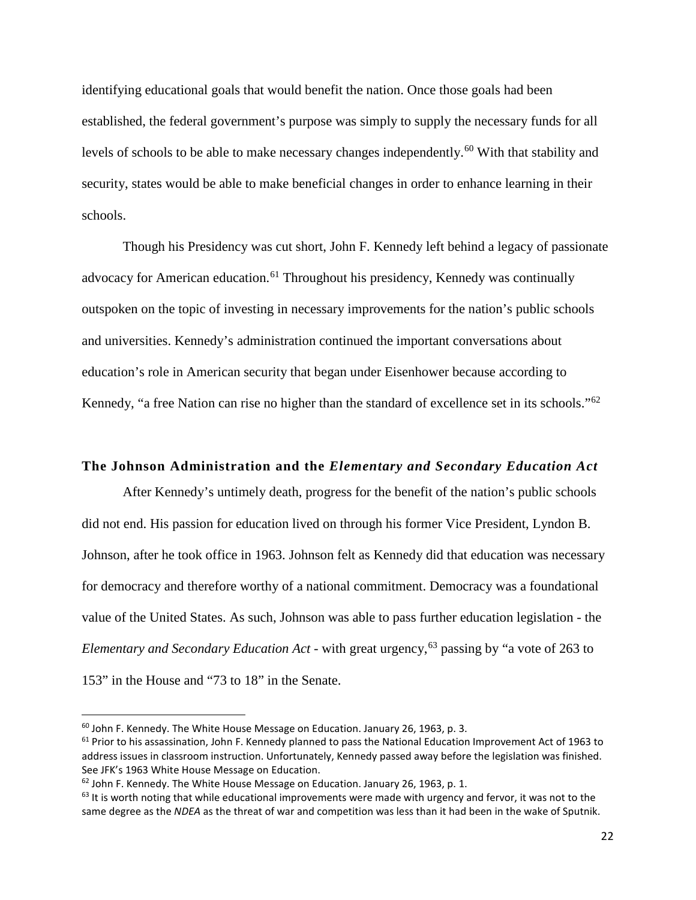identifying educational goals that would benefit the nation. Once those goals had been established, the federal government's purpose was simply to supply the necessary funds for all levels of schools to be able to make necessary changes independently.<sup>[60](#page-25-0)</sup> With that stability and security, states would be able to make beneficial changes in order to enhance learning in their schools.

Though his Presidency was cut short, John F. Kennedy left behind a legacy of passionate advocacy for American education.<sup>[61](#page-25-1)</sup> Throughout his presidency, Kennedy was continually outspoken on the topic of investing in necessary improvements for the nation's public schools and universities. Kennedy's administration continued the important conversations about education's role in American security that began under Eisenhower because according to Kennedy, "a free Nation can rise no higher than the standard of excellence set in its schools."<sup>[62](#page-25-2)</sup>

#### **The Johnson Administration and the** *Elementary and Secondary Education Act*

After Kennedy's untimely death, progress for the benefit of the nation's public schools did not end. His passion for education lived on through his former Vice President, Lyndon B. Johnson, after he took office in 1963. Johnson felt as Kennedy did that education was necessary for democracy and therefore worthy of a national commitment. Democracy was a foundational value of the United States. As such, Johnson was able to pass further education legislation - the *Elementary and Secondary Education Act* - with great urgency,<sup>[63](#page-25-3)</sup> passing by "a vote of 263 to 153" in the House and "73 to 18" in the Senate.

<span id="page-25-0"></span> $60$  John F. Kennedy. The White House Message on Education. January 26, 1963, p. 3.

<span id="page-25-1"></span> $61$  Prior to his assassination, John F. Kennedy planned to pass the National Education Improvement Act of 1963 to address issues in classroom instruction. Unfortunately, Kennedy passed away before the legislation was finished. See JFK's 1963 White House Message on Education.

<span id="page-25-2"></span> $62$  John F. Kennedy. The White House Message on Education. January 26, 1963, p. 1.

<span id="page-25-3"></span> $63$  It is worth noting that while educational improvements were made with urgency and fervor, it was not to the same degree as the *NDEA* as the threat of war and competition was less than it had been in the wake of Sputnik.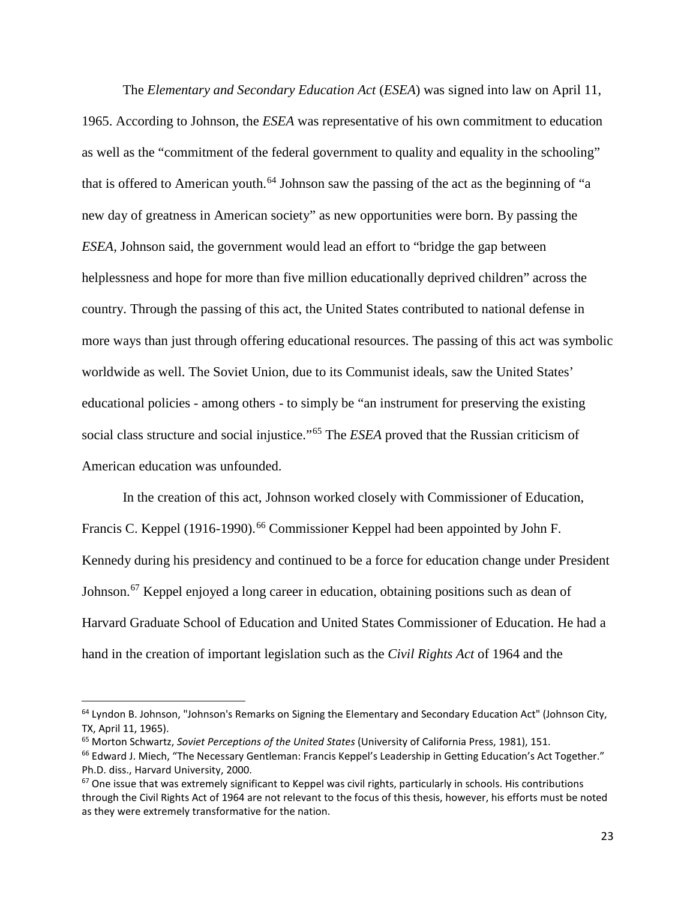The *Elementary and Secondary Education Act* (*ESEA*) was signed into law on April 11, 1965. According to Johnson, the *ESEA* was representative of his own commitment to education as well as the "commitment of the federal government to quality and equality in the schooling" that is offered to American youth.<sup>[64](#page-26-0)</sup> Johnson saw the passing of the act as the beginning of "a new day of greatness in American society" as new opportunities were born. By passing the *ESEA*, Johnson said, the government would lead an effort to "bridge the gap between helplessness and hope for more than five million educationally deprived children" across the country. Through the passing of this act, the United States contributed to national defense in more ways than just through offering educational resources. The passing of this act was symbolic worldwide as well. The Soviet Union, due to its Communist ideals, saw the United States' educational policies - among others - to simply be "an instrument for preserving the existing social class structure and social injustice."[65](#page-26-1) The *ESEA* proved that the Russian criticism of American education was unfounded.

In the creation of this act, Johnson worked closely with Commissioner of Education, Francis C. Keppel (1916-1990).<sup>[66](#page-26-2)</sup> Commissioner Keppel had been appointed by John F. Kennedy during his presidency and continued to be a force for education change under President Johnson.<sup>[67](#page-26-3)</sup> Keppel enjoyed a long career in education, obtaining positions such as dean of Harvard Graduate School of Education and United States Commissioner of Education. He had a hand in the creation of important legislation such as the *Civil Rights Act* of 1964 and the

<span id="page-26-0"></span><sup>&</sup>lt;sup>64</sup> Lyndon B. Johnson, "Johnson's Remarks on Signing the Elementary and Secondary Education Act" (Johnson City, TX, April 11, 1965).

<span id="page-26-2"></span><span id="page-26-1"></span><sup>65</sup> Morton Schwartz, *Soviet Perceptions of the United States* (University of California Press, 1981), 151. <sup>66</sup> Edward J. Miech, "The Necessary Gentleman: Francis Keppel's Leadership in Getting Education's Act Together." Ph.D. diss., Harvard University, 2000.

<span id="page-26-3"></span> $67$  One issue that was extremely significant to Keppel was civil rights, particularly in schools. His contributions through the Civil Rights Act of 1964 are not relevant to the focus of this thesis, however, his efforts must be noted as they were extremely transformative for the nation.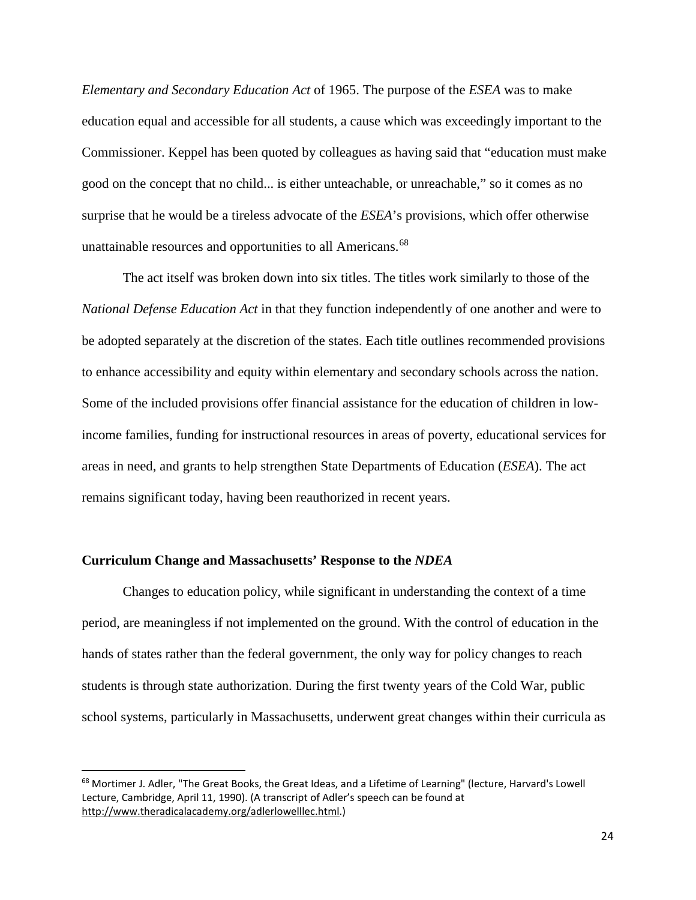*Elementary and Secondary Education Act* of 1965. The purpose of the *ESEA* was to make education equal and accessible for all students, a cause which was exceedingly important to the Commissioner. Keppel has been quoted by colleagues as having said that "education must make good on the concept that no child... is either unteachable, or unreachable," so it comes as no surprise that he would be a tireless advocate of the *ESEA*'s provisions, which offer otherwise unattainable resources and opportunities to all Americans.<sup>68</sup>

The act itself was broken down into six titles. The titles work similarly to those of the *National Defense Education Act* in that they function independently of one another and were to be adopted separately at the discretion of the states. Each title outlines recommended provisions to enhance accessibility and equity within elementary and secondary schools across the nation. Some of the included provisions offer financial assistance for the education of children in lowincome families, funding for instructional resources in areas of poverty, educational services for areas in need, and grants to help strengthen State Departments of Education (*ESEA*). The act remains significant today, having been reauthorized in recent years.

#### **Curriculum Change and Massachusetts' Response to the** *NDEA*

Changes to education policy, while significant in understanding the context of a time period, are meaningless if not implemented on the ground. With the control of education in the hands of states rather than the federal government, the only way for policy changes to reach students is through state authorization. During the first twenty years of the Cold War, public school systems, particularly in Massachusetts, underwent great changes within their curricula as

<span id="page-27-0"></span><sup>&</sup>lt;sup>68</sup> Mortimer J. Adler, "The Great Books, the Great Ideas, and a Lifetime of Learning" (lecture, Harvard's Lowell Lecture, Cambridge, April 11, 1990). (A transcript of Adler's speech can be found at [http://www.theradicalacademy.org/adlerlowelllec.html.](http://www.theradicalacademy.org/adlerlowelllec.html))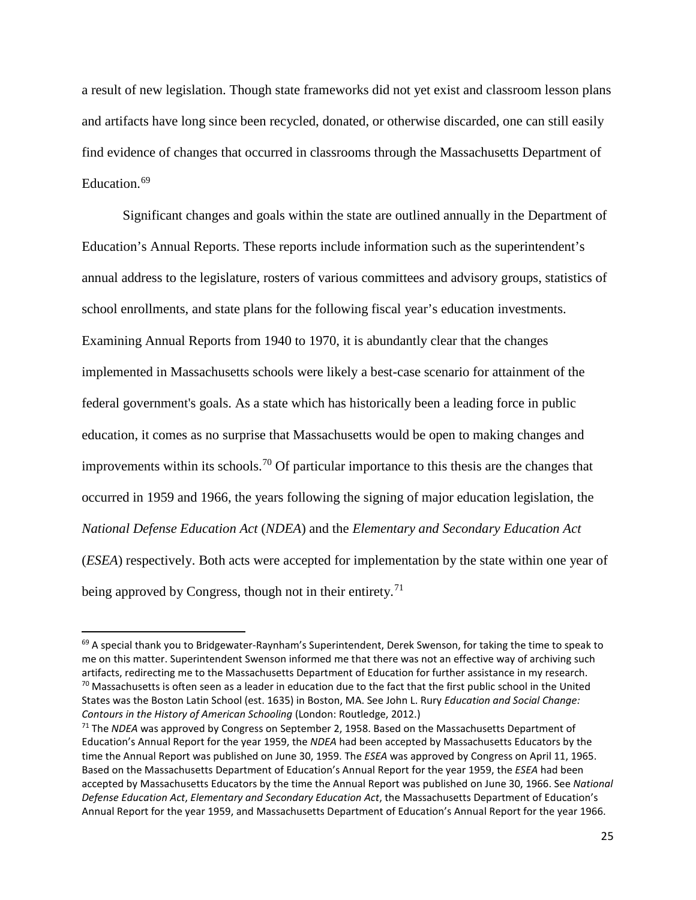a result of new legislation. Though state frameworks did not yet exist and classroom lesson plans and artifacts have long since been recycled, donated, or otherwise discarded, one can still easily find evidence of changes that occurred in classrooms through the Massachusetts Department of Education.<sup>[69](#page-28-0)</sup>

Significant changes and goals within the state are outlined annually in the Department of Education's Annual Reports. These reports include information such as the superintendent's annual address to the legislature, rosters of various committees and advisory groups, statistics of school enrollments, and state plans for the following fiscal year's education investments. Examining Annual Reports from 1940 to 1970, it is abundantly clear that the changes implemented in Massachusetts schools were likely a best-case scenario for attainment of the federal government's goals. As a state which has historically been a leading force in public education, it comes as no surprise that Massachusetts would be open to making changes and improvements within its schools.<sup>[70](#page-28-1)</sup> Of particular importance to this thesis are the changes that occurred in 1959 and 1966, the years following the signing of major education legislation, the *National Defense Education Act* (*NDEA*) and the *Elementary and Secondary Education Act* (*ESEA*) respectively. Both acts were accepted for implementation by the state within one year of being approved by Congress, though not in their entirety.<sup>[71](#page-28-2)</sup>

<span id="page-28-1"></span><span id="page-28-0"></span><sup>&</sup>lt;sup>69</sup> A special thank you to Bridgewater-Raynham's Superintendent, Derek Swenson, for taking the time to speak to me on this matter. Superintendent Swenson informed me that there was not an effective way of archiving such artifacts, redirecting me to the Massachusetts Department of Education for further assistance in my research.  $70$  Massachusetts is often seen as a leader in education due to the fact that the first public school in the United States was the Boston Latin School (est. 1635) in Boston, MA. See John L. Rury *Education and Social Change: Contours in the History of American Schooling* (London: Routledge, 2012.)

<span id="page-28-2"></span><sup>71</sup> The *NDEA* was approved by Congress on September 2, 1958. Based on the Massachusetts Department of Education's Annual Report for the year 1959, the *NDEA* had been accepted by Massachusetts Educators by the time the Annual Report was published on June 30, 1959. The *ESEA* was approved by Congress on April 11, 1965. Based on the Massachusetts Department of Education's Annual Report for the year 1959, the *ESEA* had been accepted by Massachusetts Educators by the time the Annual Report was published on June 30, 1966. See *National Defense Education Act*, *Elementary and Secondary Education Act*, the Massachusetts Department of Education's Annual Report for the year 1959, and Massachusetts Department of Education's Annual Report for the year 1966.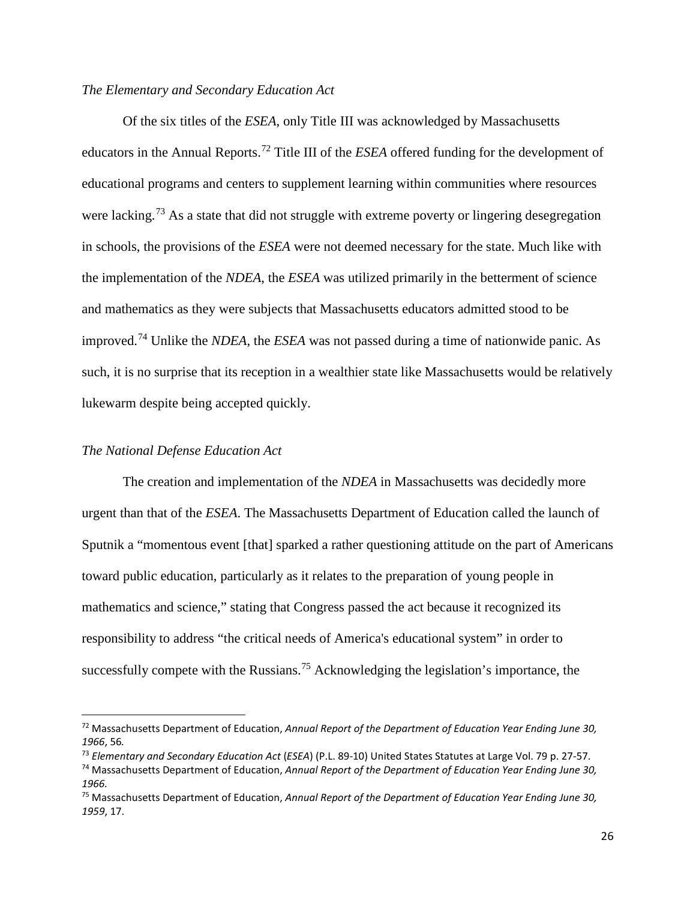#### *The Elementary and Secondary Education Act*

Of the six titles of the *ESEA*, only Title III was acknowledged by Massachusetts educators in the Annual Reports.[72](#page-29-0) Title III of the *ESEA* offered funding for the development of educational programs and centers to supplement learning within communities where resources were lacking.<sup>[73](#page-29-1)</sup> As a state that did not struggle with extreme poverty or lingering desegregation in schools, the provisions of the *ESEA* were not deemed necessary for the state. Much like with the implementation of the *NDEA*, the *ESEA* was utilized primarily in the betterment of science and mathematics as they were subjects that Massachusetts educators admitted stood to be improved. [74](#page-29-2) Unlike the *NDEA*, the *ESEA* was not passed during a time of nationwide panic. As such, it is no surprise that its reception in a wealthier state like Massachusetts would be relatively lukewarm despite being accepted quickly.

#### *The National Defense Education Act*

The creation and implementation of the *NDEA* in Massachusetts was decidedly more urgent than that of the *ESEA*. The Massachusetts Department of Education called the launch of Sputnik a "momentous event [that] sparked a rather questioning attitude on the part of Americans toward public education, particularly as it relates to the preparation of young people in mathematics and science," stating that Congress passed the act because it recognized its responsibility to address "the critical needs of America's educational system" in order to successfully compete with the Russians.<sup>[75](#page-29-3)</sup> Acknowledging the legislation's importance, the

<span id="page-29-0"></span> <sup>72</sup> Massachusetts Department of Education, *Annual Report of the Department of Education Year Ending June 30, 1966*, 56*.*

<span id="page-29-1"></span><sup>73</sup> *Elementary and Secondary Education Act* (*ESEA*) (P.L. 89-10) United States Statutes at Large Vol. 79 p. 27-57.

<span id="page-29-2"></span><sup>74</sup> Massachusetts Department of Education, *Annual Report of the Department of Education Year Ending June 30, 1966.*

<span id="page-29-3"></span><sup>75</sup> Massachusetts Department of Education, *Annual Report of the Department of Education Year Ending June 30, 1959*, 17.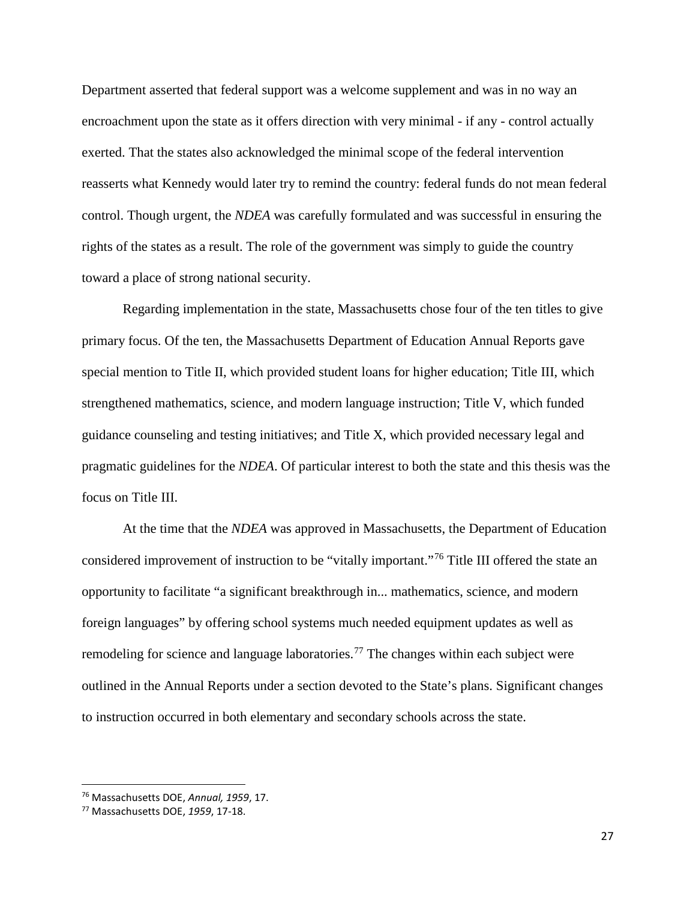Department asserted that federal support was a welcome supplement and was in no way an encroachment upon the state as it offers direction with very minimal - if any - control actually exerted. That the states also acknowledged the minimal scope of the federal intervention reasserts what Kennedy would later try to remind the country: federal funds do not mean federal control. Though urgent, the *NDEA* was carefully formulated and was successful in ensuring the rights of the states as a result. The role of the government was simply to guide the country toward a place of strong national security.

Regarding implementation in the state, Massachusetts chose four of the ten titles to give primary focus. Of the ten, the Massachusetts Department of Education Annual Reports gave special mention to Title II, which provided student loans for higher education; Title III, which strengthened mathematics, science, and modern language instruction; Title V, which funded guidance counseling and testing initiatives; and Title X, which provided necessary legal and pragmatic guidelines for the *NDEA*. Of particular interest to both the state and this thesis was the focus on Title III.

At the time that the *NDEA* was approved in Massachusetts, the Department of Education considered improvement of instruction to be "vitally important."[76](#page-30-0) Title III offered the state an opportunity to facilitate "a significant breakthrough in... mathematics, science, and modern foreign languages" by offering school systems much needed equipment updates as well as remodeling for science and language laboratories.<sup>[77](#page-30-1)</sup> The changes within each subject were outlined in the Annual Reports under a section devoted to the State's plans. Significant changes to instruction occurred in both elementary and secondary schools across the state.

<span id="page-30-0"></span> <sup>76</sup> Massachusetts DOE, *Annual, 1959*, 17.

<span id="page-30-1"></span><sup>77</sup> Massachusetts DOE, *1959*, 17-18.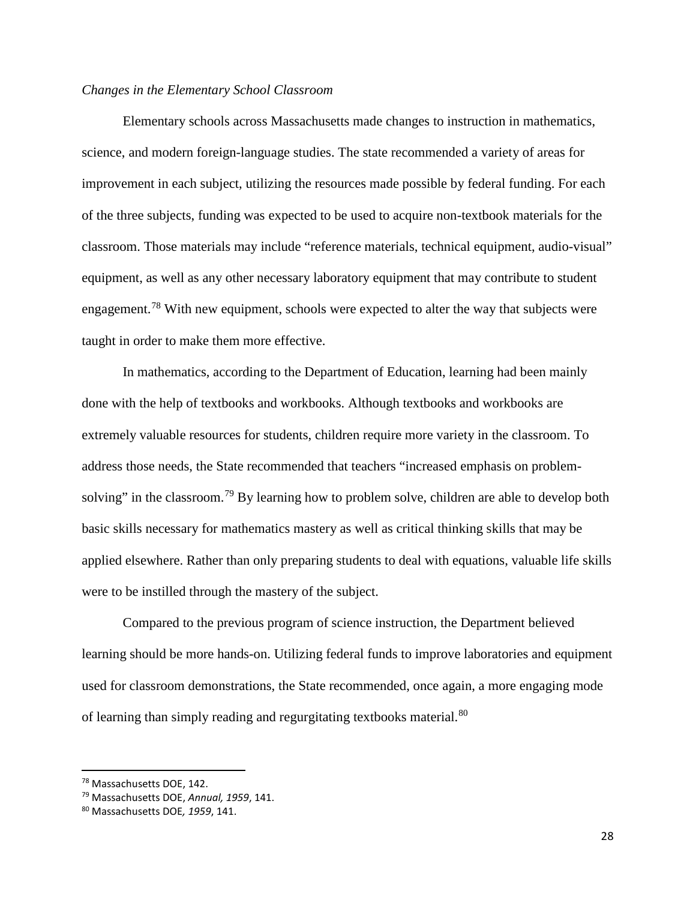#### *Changes in the Elementary School Classroom*

Elementary schools across Massachusetts made changes to instruction in mathematics, science, and modern foreign-language studies. The state recommended a variety of areas for improvement in each subject, utilizing the resources made possible by federal funding. For each of the three subjects, funding was expected to be used to acquire non-textbook materials for the classroom. Those materials may include "reference materials, technical equipment, audio-visual" equipment, as well as any other necessary laboratory equipment that may contribute to student engagement.<sup>[78](#page-31-0)</sup> With new equipment, schools were expected to alter the way that subjects were taught in order to make them more effective.

In mathematics, according to the Department of Education, learning had been mainly done with the help of textbooks and workbooks. Although textbooks and workbooks are extremely valuable resources for students, children require more variety in the classroom. To address those needs, the State recommended that teachers "increased emphasis on problem-solving" in the classroom.<sup>[79](#page-31-1)</sup> By learning how to problem solve, children are able to develop both basic skills necessary for mathematics mastery as well as critical thinking skills that may be applied elsewhere. Rather than only preparing students to deal with equations, valuable life skills were to be instilled through the mastery of the subject.

Compared to the previous program of science instruction, the Department believed learning should be more hands-on. Utilizing federal funds to improve laboratories and equipment used for classroom demonstrations, the State recommended, once again, a more engaging mode of learning than simply reading and regurgitating textbooks material.<sup>[80](#page-31-2)</sup>

<span id="page-31-0"></span> <sup>78</sup> Massachusetts DOE, 142.

<span id="page-31-1"></span><sup>79</sup> Massachusetts DOE, *Annual, 1959*, 141.

<span id="page-31-2"></span><sup>80</sup> Massachusetts DOE*, 1959*, 141.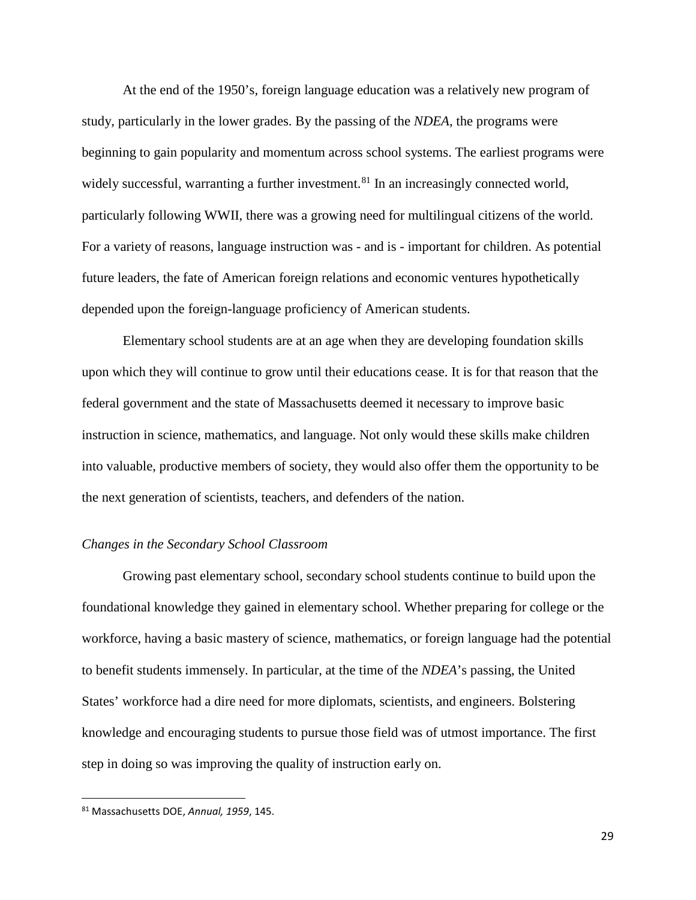At the end of the 1950's, foreign language education was a relatively new program of study, particularly in the lower grades. By the passing of the *NDEA*, the programs were beginning to gain popularity and momentum across school systems. The earliest programs were widely successful, warranting a further investment.<sup>[81](#page-32-0)</sup> In an increasingly connected world, particularly following WWII, there was a growing need for multilingual citizens of the world. For a variety of reasons, language instruction was - and is - important for children. As potential future leaders, the fate of American foreign relations and economic ventures hypothetically depended upon the foreign-language proficiency of American students.

Elementary school students are at an age when they are developing foundation skills upon which they will continue to grow until their educations cease. It is for that reason that the federal government and the state of Massachusetts deemed it necessary to improve basic instruction in science, mathematics, and language. Not only would these skills make children into valuable, productive members of society, they would also offer them the opportunity to be the next generation of scientists, teachers, and defenders of the nation.

#### *Changes in the Secondary School Classroom*

Growing past elementary school, secondary school students continue to build upon the foundational knowledge they gained in elementary school. Whether preparing for college or the workforce, having a basic mastery of science, mathematics, or foreign language had the potential to benefit students immensely. In particular, at the time of the *NDEA*'s passing, the United States' workforce had a dire need for more diplomats, scientists, and engineers. Bolstering knowledge and encouraging students to pursue those field was of utmost importance. The first step in doing so was improving the quality of instruction early on.

29

<span id="page-32-0"></span> <sup>81</sup> Massachusetts DOE, *Annual, <sup>1959</sup>*, 145.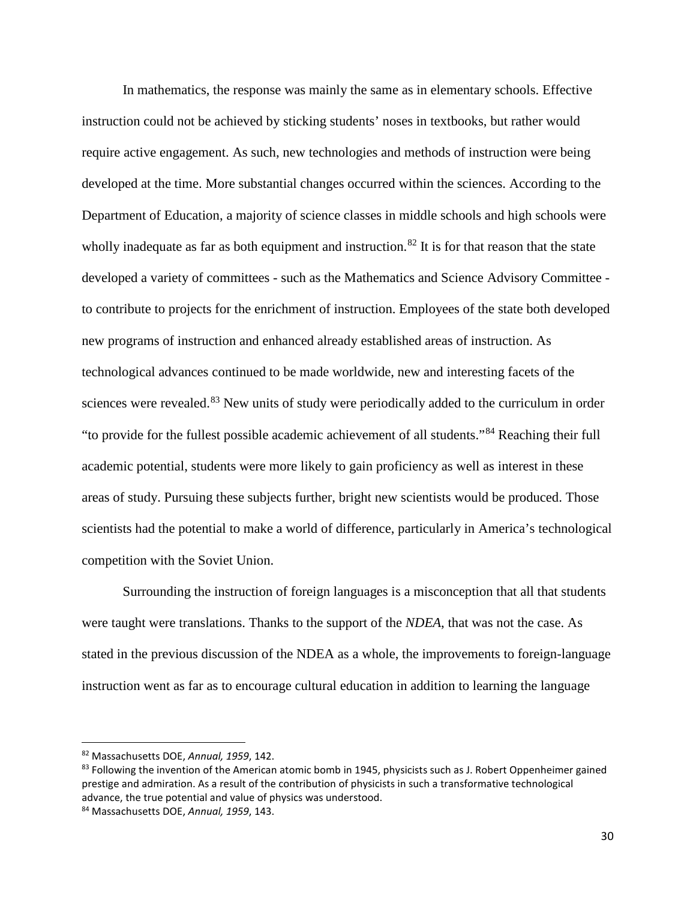In mathematics, the response was mainly the same as in elementary schools. Effective instruction could not be achieved by sticking students' noses in textbooks, but rather would require active engagement. As such, new technologies and methods of instruction were being developed at the time. More substantial changes occurred within the sciences. According to the Department of Education, a majority of science classes in middle schools and high schools were wholly inadequate as far as both equipment and instruction.<sup>[82](#page-33-0)</sup> It is for that reason that the state developed a variety of committees - such as the Mathematics and Science Advisory Committee to contribute to projects for the enrichment of instruction. Employees of the state both developed new programs of instruction and enhanced already established areas of instruction. As technological advances continued to be made worldwide, new and interesting facets of the sciences were revealed.<sup>[83](#page-33-1)</sup> New units of study were periodically added to the curriculum in order "to provide for the fullest possible academic achievement of all students."[84](#page-33-2) Reaching their full academic potential, students were more likely to gain proficiency as well as interest in these areas of study. Pursuing these subjects further, bright new scientists would be produced. Those scientists had the potential to make a world of difference, particularly in America's technological competition with the Soviet Union.

Surrounding the instruction of foreign languages is a misconception that all that students were taught were translations. Thanks to the support of the *NDEA*, that was not the case. As stated in the previous discussion of the NDEA as a whole, the improvements to foreign-language instruction went as far as to encourage cultural education in addition to learning the language

<span id="page-33-0"></span> <sup>82</sup> Massachusetts DOE, *Annual, 1959*, 142.

<span id="page-33-1"></span><sup>&</sup>lt;sup>83</sup> Following the invention of the American atomic bomb in 1945, physicists such as J. Robert Oppenheimer gained prestige and admiration. As a result of the contribution of physicists in such a transformative technological advance, the true potential and value of physics was understood.

<span id="page-33-2"></span><sup>84</sup> Massachusetts DOE, *Annual, 1959*, 143.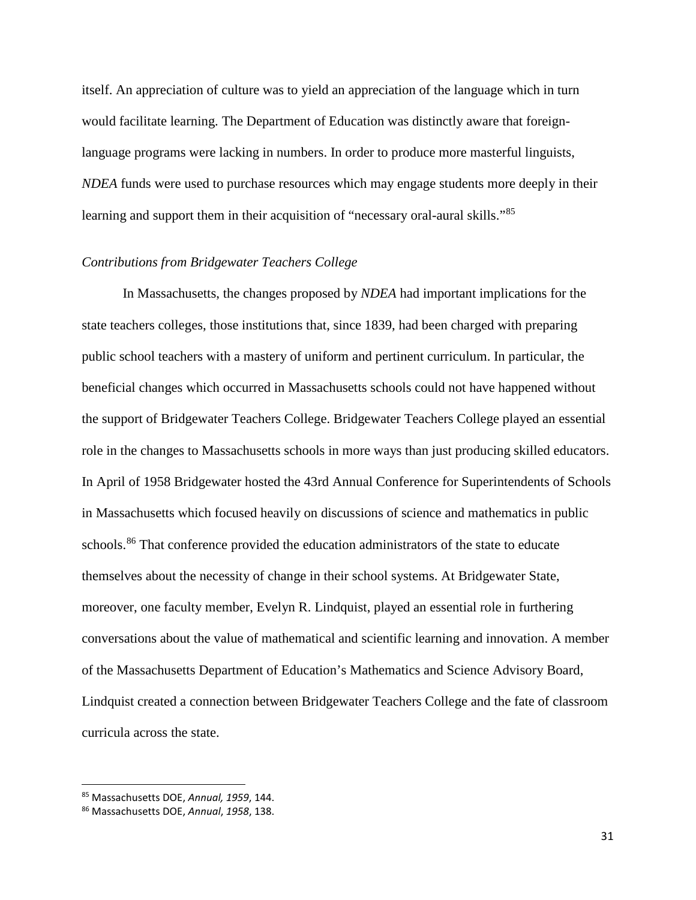itself. An appreciation of culture was to yield an appreciation of the language which in turn would facilitate learning. The Department of Education was distinctly aware that foreignlanguage programs were lacking in numbers. In order to produce more masterful linguists, *NDEA* funds were used to purchase resources which may engage students more deeply in their learning and support them in their acquisition of "necessary oral-aural skills."<sup>[85](#page-34-0)</sup>

#### *Contributions from Bridgewater Teachers College*

In Massachusetts, the changes proposed by *NDEA* had important implications for the state teachers colleges, those institutions that, since 1839, had been charged with preparing public school teachers with a mastery of uniform and pertinent curriculum. In particular, the beneficial changes which occurred in Massachusetts schools could not have happened without the support of Bridgewater Teachers College. Bridgewater Teachers College played an essential role in the changes to Massachusetts schools in more ways than just producing skilled educators. In April of 1958 Bridgewater hosted the 43rd Annual Conference for Superintendents of Schools in Massachusetts which focused heavily on discussions of science and mathematics in public schools.<sup>[86](#page-34-1)</sup> That conference provided the education administrators of the state to educate themselves about the necessity of change in their school systems. At Bridgewater State, moreover, one faculty member, Evelyn R. Lindquist, played an essential role in furthering conversations about the value of mathematical and scientific learning and innovation. A member of the Massachusetts Department of Education's Mathematics and Science Advisory Board, Lindquist created a connection between Bridgewater Teachers College and the fate of classroom curricula across the state.

<span id="page-34-0"></span> <sup>85</sup> Massachusetts DOE, *Annual, 1959*, 144.

<span id="page-34-1"></span><sup>86</sup> Massachusetts DOE, *Annual*, *1958*, 138.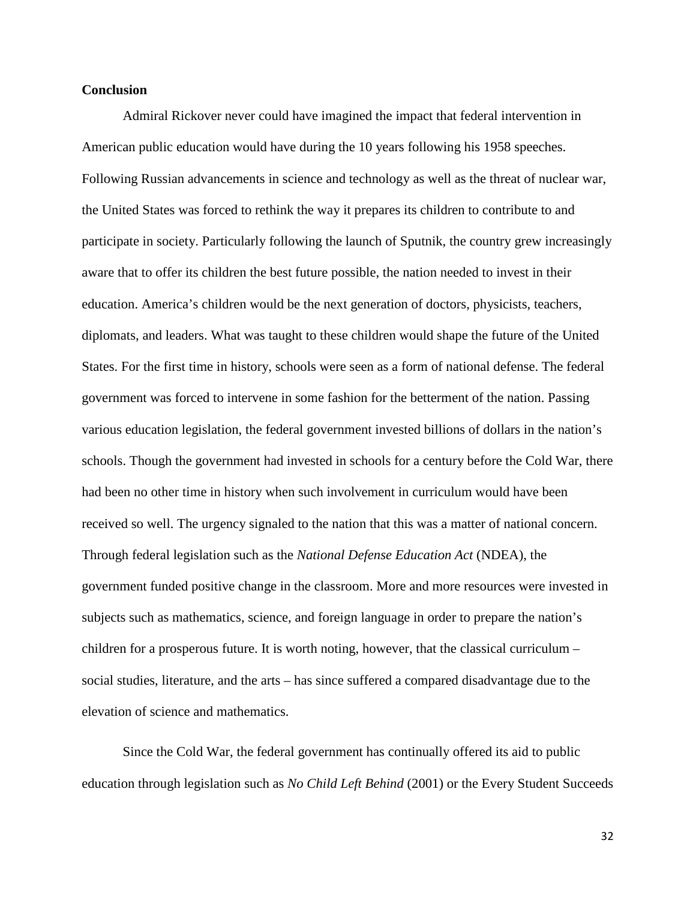#### **Conclusion**

Admiral Rickover never could have imagined the impact that federal intervention in American public education would have during the 10 years following his 1958 speeches. Following Russian advancements in science and technology as well as the threat of nuclear war, the United States was forced to rethink the way it prepares its children to contribute to and participate in society. Particularly following the launch of Sputnik, the country grew increasingly aware that to offer its children the best future possible, the nation needed to invest in their education. America's children would be the next generation of doctors, physicists, teachers, diplomats, and leaders. What was taught to these children would shape the future of the United States. For the first time in history, schools were seen as a form of national defense. The federal government was forced to intervene in some fashion for the betterment of the nation. Passing various education legislation, the federal government invested billions of dollars in the nation's schools. Though the government had invested in schools for a century before the Cold War, there had been no other time in history when such involvement in curriculum would have been received so well. The urgency signaled to the nation that this was a matter of national concern. Through federal legislation such as the *National Defense Education Act* (NDEA), the government funded positive change in the classroom. More and more resources were invested in subjects such as mathematics, science, and foreign language in order to prepare the nation's children for a prosperous future. It is worth noting, however, that the classical curriculum – social studies, literature, and the arts – has since suffered a compared disadvantage due to the elevation of science and mathematics.

Since the Cold War, the federal government has continually offered its aid to public education through legislation such as *No Child Left Behind* (2001) or the Every Student Succeeds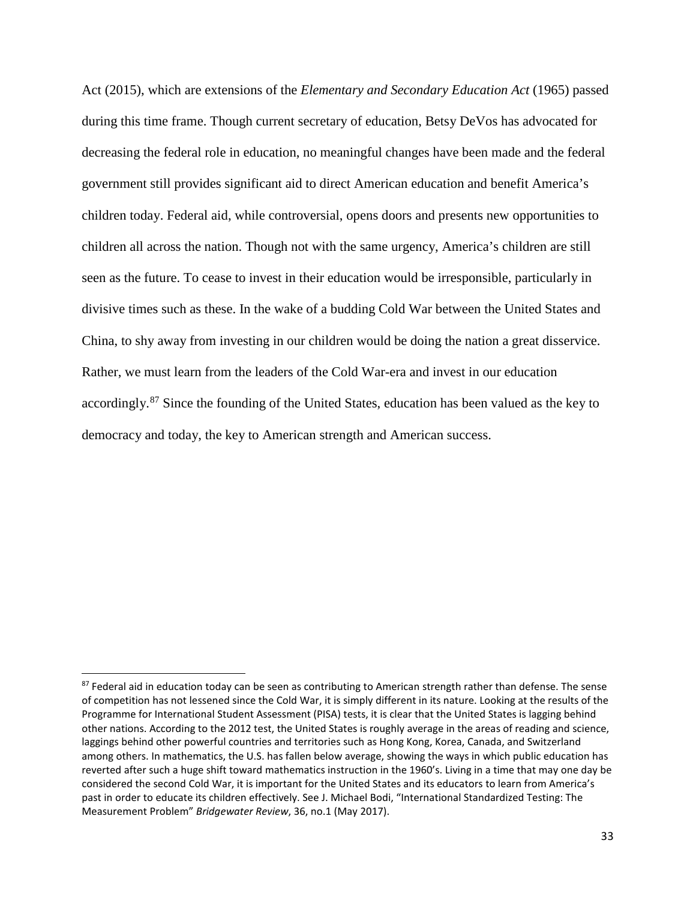Act (2015), which are extensions of the *Elementary and Secondary Education Act* (1965) passed during this time frame. Though current secretary of education, Betsy DeVos has advocated for decreasing the federal role in education, no meaningful changes have been made and the federal government still provides significant aid to direct American education and benefit America's children today. Federal aid, while controversial, opens doors and presents new opportunities to children all across the nation. Though not with the same urgency, America's children are still seen as the future. To cease to invest in their education would be irresponsible, particularly in divisive times such as these. In the wake of a budding Cold War between the United States and China, to shy away from investing in our children would be doing the nation a great disservice. Rather, we must learn from the leaders of the Cold War-era and invest in our education accordingly.<sup>[87](#page-36-0)</sup> Since the founding of the United States, education has been valued as the key to democracy and today, the key to American strength and American success.

<span id="page-36-0"></span><sup>&</sup>lt;sup>87</sup> Federal aid in education today can be seen as contributing to American strength rather than defense. The sense of competition has not lessened since the Cold War, it is simply different in its nature. Looking at the results of the Programme for International Student Assessment (PISA) tests, it is clear that the United States is lagging behind other nations. According to the 2012 test, the United States is roughly average in the areas of reading and science, laggings behind other powerful countries and territories such as Hong Kong, Korea, Canada, and Switzerland among others. In mathematics, the U.S. has fallen below average, showing the ways in which public education has reverted after such a huge shift toward mathematics instruction in the 1960's. Living in a time that may one day be considered the second Cold War, it is important for the United States and its educators to learn from America's past in order to educate its children effectively. See J. Michael Bodi, "International Standardized Testing: The Measurement Problem" *Bridgewater Review*, 36, no.1 (May 2017).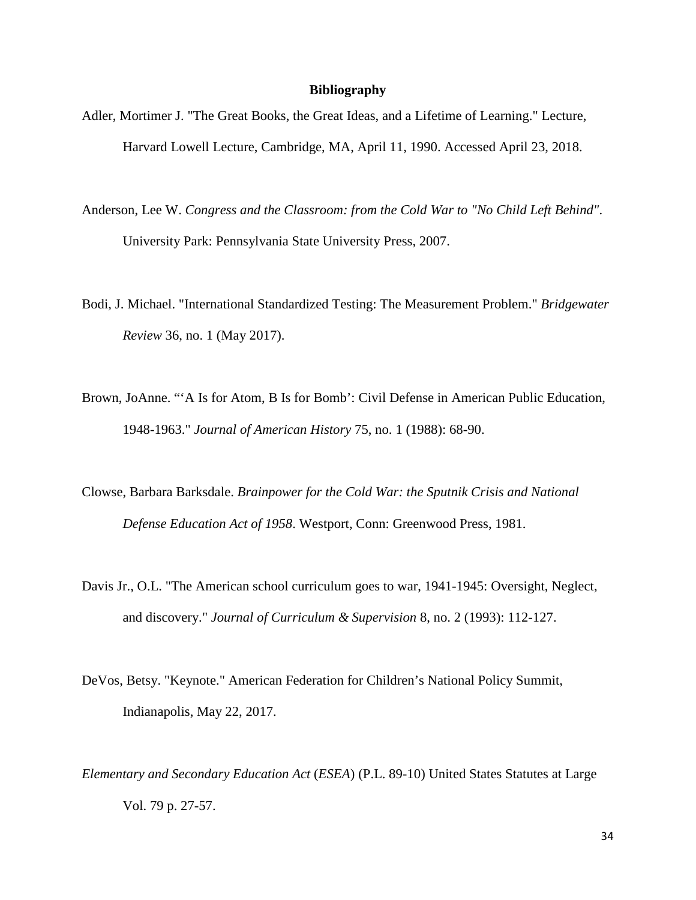#### **Bibliography**

- Adler, Mortimer J. "The Great Books, the Great Ideas, and a Lifetime of Learning." Lecture, Harvard Lowell Lecture, Cambridge, MA, April 11, 1990. Accessed April 23, 2018.
- Anderson, Lee W. *Congress and the Classroom: from the Cold War to "No Child Left Behind"*. University Park: Pennsylvania State University Press, 2007.
- Bodi, J. Michael. "International Standardized Testing: The Measurement Problem." *Bridgewater Review* 36, no. 1 (May 2017).
- Brown, JoAnne. "'A Is for Atom, B Is for Bomb': Civil Defense in American Public Education, 1948-1963." *Journal of American History* 75, no. 1 (1988): 68-90.
- Clowse, Barbara Barksdale. *Brainpower for the Cold War: the Sputnik Crisis and National Defense Education Act of 1958*. Westport, Conn: Greenwood Press, 1981.
- Davis Jr., O.L. "The American school curriculum goes to war, 1941-1945: Oversight, Neglect, and discovery." *Journal of Curriculum & Supervision* 8, no. 2 (1993): 112-127.
- DeVos, Betsy. "Keynote." American Federation for Children's National Policy Summit, Indianapolis, May 22, 2017.
- *Elementary and Secondary Education Act* (*ESEA*) (P.L. 89-10) United States Statutes at Large Vol. 79 p. 27-57.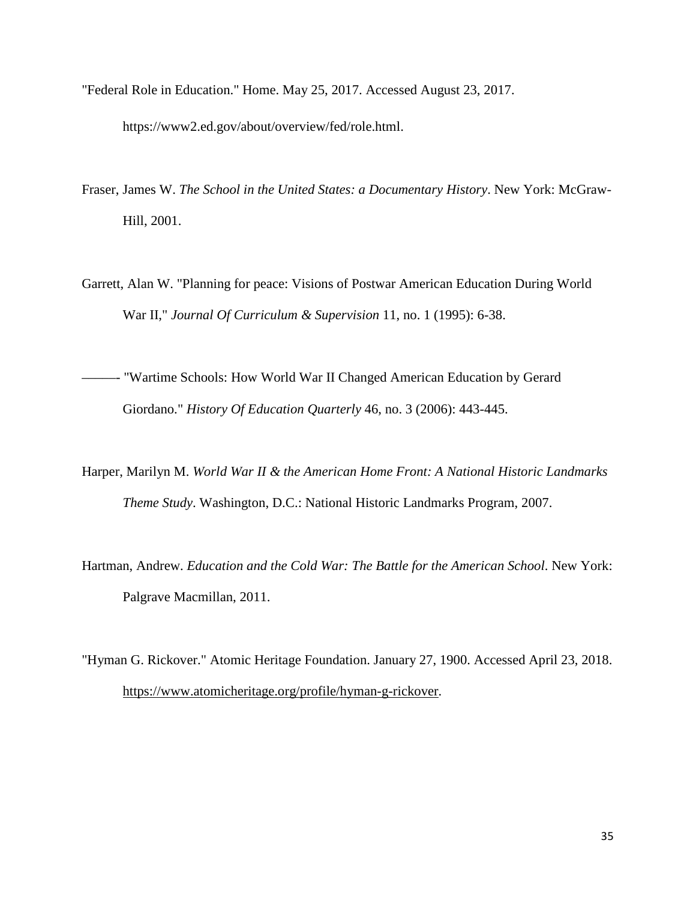"Federal Role in Education." Home. May 25, 2017. Accessed August 23, 2017.

https://www2.ed.gov/about/overview/fed/role.html.

- Fraser, James W. *The School in the United States: a Documentary History*. New York: McGraw-Hill, 2001.
- Garrett, Alan W. "Planning for peace: Visions of Postwar American Education During World War II," *Journal Of Curriculum & Supervision* 11, no. 1 (1995): 6-38.
- –––––- "Wartime Schools: How World War II Changed American Education by Gerard Giordano." *History Of Education Quarterly* 46, no. 3 (2006): 443-445.
- Harper, Marilyn M. *World War II & the American Home Front: A National Historic Landmarks Theme Study*. Washington, D.C.: National Historic Landmarks Program, 2007.
- Hartman, Andrew. *Education and the Cold War: The Battle for the American School*. New York: Palgrave Macmillan, 2011.
- "Hyman G. Rickover." Atomic Heritage Foundation. January 27, 1900. Accessed April 23, 2018. [https://www.atomicheritage.org/profile/hyman-g-rickover.](https://www.atomicheritage.org/profile/hyman-g-rickover)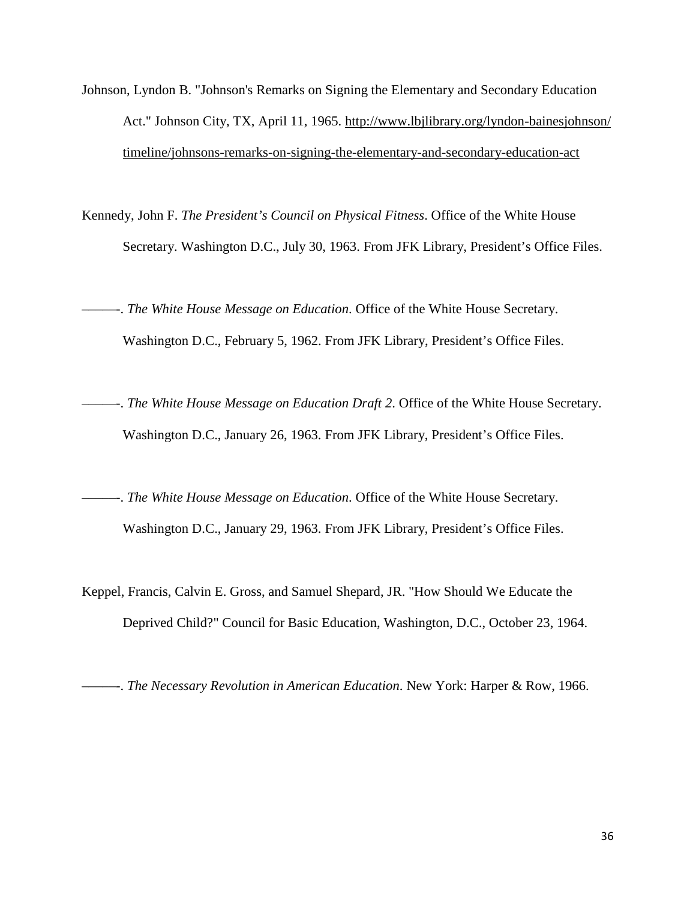- Johnson, Lyndon B. "Johnson's Remarks on Signing the Elementary and Secondary Education Act." Johnson City, TX, April 11, 1965. [http://www.lbjlibrary.org/lyndon-bainesjohnson/](http://www.lbjlibrary.org/lyndon-bainesjohnson/timeline/johnsons-remarks-on-signing-the-elementary-and-secondary-education-act) [timeline/johnsons-remarks-on-signing-the-elementary-and-secondary-education-act](http://www.lbjlibrary.org/lyndon-bainesjohnson/timeline/johnsons-remarks-on-signing-the-elementary-and-secondary-education-act)
- Kennedy, John F. *The President's Council on Physical Fitness*. Office of the White House Secretary. Washington D.C., July 30, 1963. From JFK Library, President's Office Files.
- –––––-. *The White House Message on Education*. Office of the White House Secretary. Washington D.C., February 5, 1962. From JFK Library, President's Office Files.
- –––––-. *The White House Message on Education Draft 2*. Office of the White House Secretary. Washington D.C., January 26, 1963. From JFK Library, President's Office Files.
- –––––-. *The White House Message on Education*. Office of the White House Secretary. Washington D.C., January 29, 1963. From JFK Library, President's Office Files.
- Keppel, Francis, Calvin E. Gross, and Samuel Shepard, JR. "How Should We Educate the Deprived Child?" Council for Basic Education, Washington, D.C., October 23, 1964.

–––––-. *The Necessary Revolution in American Education*. New York: Harper & Row, 1966.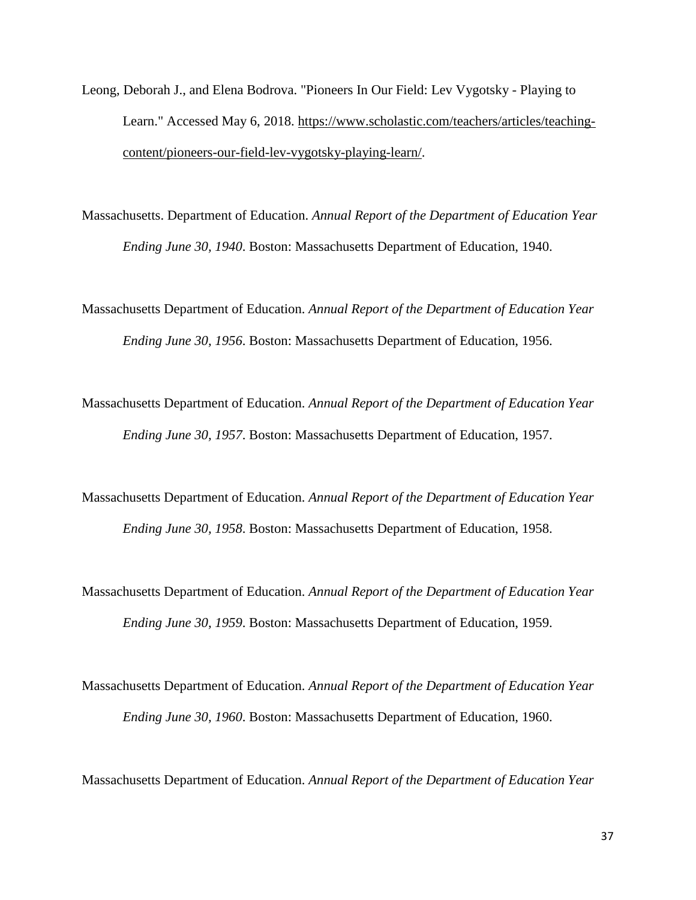- Leong, Deborah J., and Elena Bodrova. "Pioneers In Our Field: Lev Vygotsky Playing to Learn." Accessed May 6, 2018. [https://www.scholastic.com/teachers/articles/teaching](https://www.scholastic.com/teachers/articles/teaching-content/pioneers-our-field-lev-vygotsky-playing-learn/)[content/pioneers-our-field-lev-vygotsky-playing-learn/.](https://www.scholastic.com/teachers/articles/teaching-content/pioneers-our-field-lev-vygotsky-playing-learn/)
- Massachusetts. Department of Education. *Annual Report of the Department of Education Year Ending June 30, 1940*. Boston: Massachusetts Department of Education, 1940.
- Massachusetts Department of Education. *Annual Report of the Department of Education Year Ending June 30, 1956*. Boston: Massachusetts Department of Education, 1956.
- Massachusetts Department of Education. *Annual Report of the Department of Education Year Ending June 30, 1957*. Boston: Massachusetts Department of Education, 1957.
- Massachusetts Department of Education. *Annual Report of the Department of Education Year Ending June 30, 1958*. Boston: Massachusetts Department of Education, 1958.
- Massachusetts Department of Education. *Annual Report of the Department of Education Year Ending June 30, 1959*. Boston: Massachusetts Department of Education, 1959.
- Massachusetts Department of Education. *Annual Report of the Department of Education Year Ending June 30, 1960*. Boston: Massachusetts Department of Education, 1960.

Massachusetts Department of Education. *Annual Report of the Department of Education Year*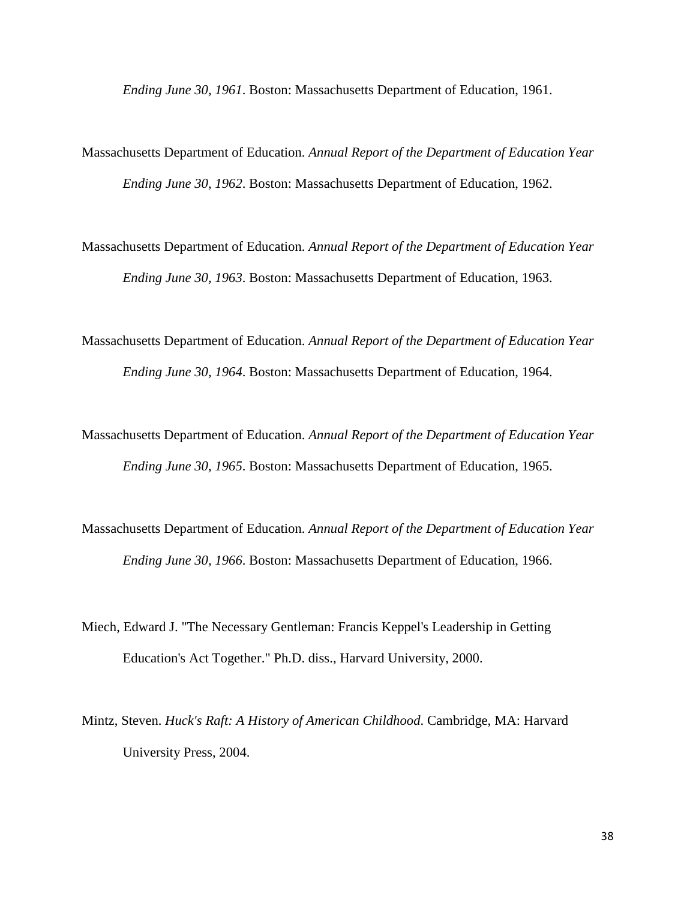*Ending June 30, 1961*. Boston: Massachusetts Department of Education, 1961.

- Massachusetts Department of Education. *Annual Report of the Department of Education Year Ending June 30, 1962*. Boston: Massachusetts Department of Education, 1962.
- Massachusetts Department of Education. *Annual Report of the Department of Education Year Ending June 30, 1963*. Boston: Massachusetts Department of Education, 1963.
- Massachusetts Department of Education. *Annual Report of the Department of Education Year Ending June 30, 1964*. Boston: Massachusetts Department of Education, 1964.
- Massachusetts Department of Education. *Annual Report of the Department of Education Year Ending June 30, 1965*. Boston: Massachusetts Department of Education, 1965.
- Massachusetts Department of Education. *Annual Report of the Department of Education Year Ending June 30, 1966*. Boston: Massachusetts Department of Education, 1966.
- Miech, Edward J. "The Necessary Gentleman: Francis Keppel's Leadership in Getting Education's Act Together." Ph.D. diss., Harvard University, 2000.
- Mintz, Steven. *Huck's Raft: A History of American Childhood*. Cambridge, MA: Harvard University Press, 2004.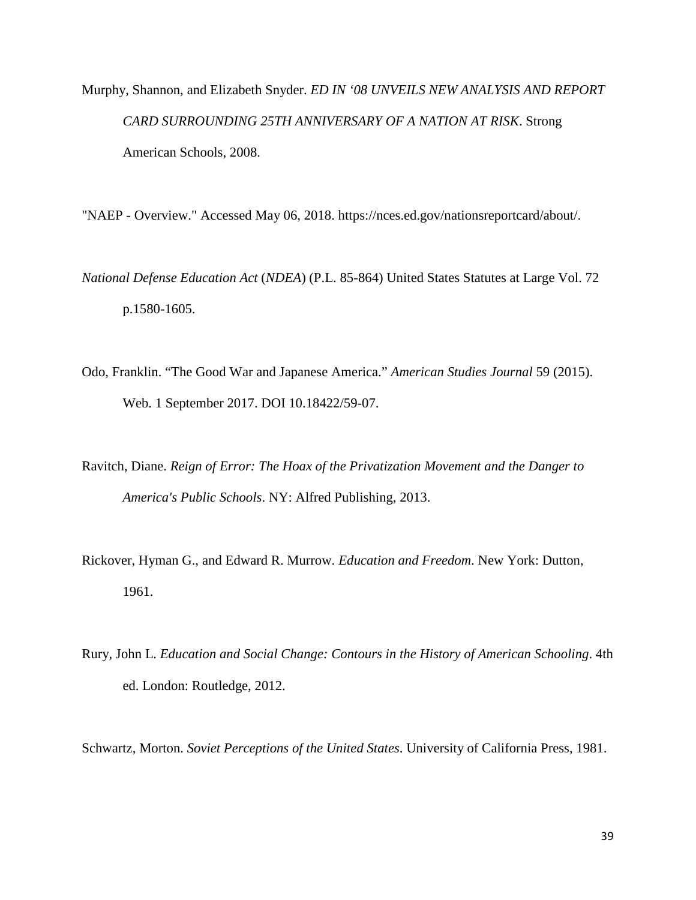Murphy, Shannon, and Elizabeth Snyder. *ED IN '08 UNVEILS NEW ANALYSIS AND REPORT CARD SURROUNDING 25TH ANNIVERSARY OF A NATION AT RISK*. Strong American Schools, 2008.

"NAEP - Overview." Accessed May 06, 2018. https://nces.ed.gov/nationsreportcard/about/.

*National Defense Education Act* (*NDEA*) (P.L. 85-864) United States Statutes at Large Vol. 72 p.1580-1605.

- Odo, Franklin. "The Good War and Japanese America." *American Studies Journal* 59 (2015). Web. 1 September 2017. DOI 10.18422/59-07.
- Ravitch, Diane. *Reign of Error: The Hoax of the Privatization Movement and the Danger to America's Public Schools*. NY: Alfred Publishing, 2013.
- Rickover, Hyman G., and Edward R. Murrow. *Education and Freedom*. New York: Dutton, 1961.
- Rury, John L. *Education and Social Change: Contours in the History of American Schooling*. 4th ed. London: Routledge, 2012.

Schwartz, Morton. *Soviet Perceptions of the United States*. University of California Press, 1981.